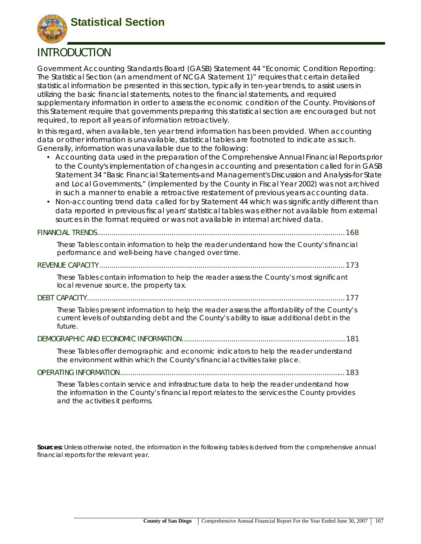

# **INTRODUCTION**

Government Accounting Standards Board (GASB) Statement 44 "Economic Condition Reporting: The Statistical Section (an amendment of NCGA Statement 1)" requires that certain detailed statistical information be presented in this section, typically in ten-year trends, to assist users in utilizing the basic financial statements, notes to the financial statements, and required supplementary information in order to assess the economic condition of the County. Provisions of this Statement require that governments preparing this statistical section are encouraged but not required, to report all years of information retroactively.

In this regard, when available, ten year trend information has been provided. When accounting data or other information is unavailable, statistical tables are footnoted to indicate as such. Generally, information was unavailable due to the following:

- Accounting data used in the preparation of the Comprehensive Annual Financial Reports prior to the County's implementation of changes in accounting and presentation called for in GASB Statement 34 "Basic Financial Statements-and Management's Discussion and Analysis-for State and Local Governments," (implemented by the County in Fiscal Year 2002) was not archived in such a manner to enable a retroactive restatement of previous years accounting data.
- Non-accounting trend data called for by Statement 44 which was significantly different than data reported in previous fiscal years' statistical tables was either not available from external sources in the format required or was not available in internal archived data.

|--|--|--|--|

*These Tables contain information to help the reader understand how the County's financial performance and well-being have changed over time.*

#### **REVENUE CAPACITY.......................................................................................................................173**

*These Tables contain information to help the reader assess the County's most significant local revenue source, the property tax.*

#### **DEBT CAPACITY.............................................................................................................................177**

*These Tables present information to help the reader assess the affordability of the County's current levels of outstanding debt and the County's ability to issue additional debt in the future.* 

#### **DEMOGRAPHIC AND ECONOMIC INFORMATION...............................................................................181**

*These Tables offer demographic and economic indicators to help the reader understand the environment within which the County's financial activities take place.*

#### **OPERATING INFORMATION.............................................................................................................183**

*These Tables contain service and infrastructure data to help the reader understand how the information in the County's financial report relates to the services the County provides and the activities it performs.* 

**Sources:** Unless otherwise noted, the information in the following tables is derived from the comprehensive annual financial reports for the relevant year.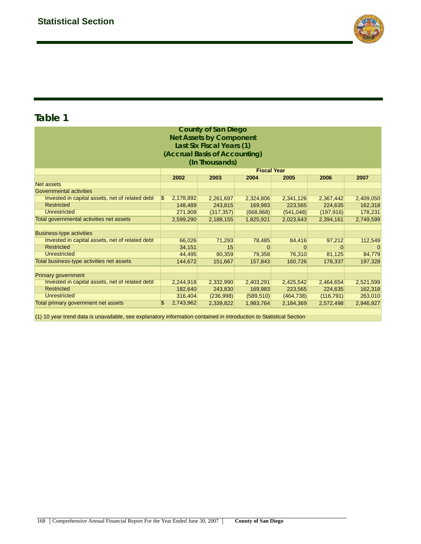

| (Accrual Basis of Accounting)                                                                     |         |                                                                                                                            |                                                                                                                                                                                                      |            |           |  |  |  |  |  |  |  |
|---------------------------------------------------------------------------------------------------|---------|----------------------------------------------------------------------------------------------------------------------------|------------------------------------------------------------------------------------------------------------------------------------------------------------------------------------------------------|------------|-----------|--|--|--|--|--|--|--|
| (In Thousands)                                                                                    |         |                                                                                                                            |                                                                                                                                                                                                      |            |           |  |  |  |  |  |  |  |
| <b>Fiscal Year</b>                                                                                |         |                                                                                                                            |                                                                                                                                                                                                      |            |           |  |  |  |  |  |  |  |
| 2002<br>2006<br>2003<br>2004<br>2005<br>2007                                                      |         |                                                                                                                            |                                                                                                                                                                                                      |            |           |  |  |  |  |  |  |  |
| <b>Net assets</b>                                                                                 |         |                                                                                                                            |                                                                                                                                                                                                      |            |           |  |  |  |  |  |  |  |
|                                                                                                   |         |                                                                                                                            |                                                                                                                                                                                                      |            |           |  |  |  |  |  |  |  |
| ß.                                                                                                |         | 2,324,806                                                                                                                  | 2,341,126                                                                                                                                                                                            | 2,367,442  | 2,409,050 |  |  |  |  |  |  |  |
|                                                                                                   |         | 169,983                                                                                                                    | 223,565                                                                                                                                                                                              | 224,635    | 162,318   |  |  |  |  |  |  |  |
| <b>Unrestricted</b><br>271,909<br>(317, 357)<br>(668, 868)<br>(197, 916)<br>178,231<br>(541, 048) |         |                                                                                                                            |                                                                                                                                                                                                      |            |           |  |  |  |  |  |  |  |
|                                                                                                   |         | 1,825,921                                                                                                                  | 2,023,643                                                                                                                                                                                            | 2,394,161  | 2,749,599 |  |  |  |  |  |  |  |
|                                                                                                   |         |                                                                                                                            |                                                                                                                                                                                                      |            |           |  |  |  |  |  |  |  |
|                                                                                                   |         |                                                                                                                            |                                                                                                                                                                                                      |            |           |  |  |  |  |  |  |  |
|                                                                                                   |         | 78,485                                                                                                                     | 84,416                                                                                                                                                                                               | 97,212     | 112,549   |  |  |  |  |  |  |  |
|                                                                                                   | 15      | $\Omega$                                                                                                                   | $\Omega$                                                                                                                                                                                             | $\Omega$   | $\Omega$  |  |  |  |  |  |  |  |
|                                                                                                   |         | 79,358                                                                                                                     | 76,310                                                                                                                                                                                               | 81,125     | 84,779    |  |  |  |  |  |  |  |
|                                                                                                   | 151,667 | 157,843                                                                                                                    | 160,726                                                                                                                                                                                              | 178,337    | 197,328   |  |  |  |  |  |  |  |
|                                                                                                   |         |                                                                                                                            |                                                                                                                                                                                                      |            |           |  |  |  |  |  |  |  |
|                                                                                                   |         |                                                                                                                            |                                                                                                                                                                                                      |            |           |  |  |  |  |  |  |  |
|                                                                                                   |         | 2,403,291                                                                                                                  | 2,425,542                                                                                                                                                                                            | 2,464,654  | 2,521,599 |  |  |  |  |  |  |  |
|                                                                                                   |         | 169,983                                                                                                                    | 223,565                                                                                                                                                                                              | 224,635    | 162,318   |  |  |  |  |  |  |  |
|                                                                                                   |         | (589, 510)                                                                                                                 | (464, 738)                                                                                                                                                                                           | (116, 791) | 263,010   |  |  |  |  |  |  |  |
| \$                                                                                                |         | 1,983,764                                                                                                                  | 2,184,369                                                                                                                                                                                            | 2,572,498  | 2,946,927 |  |  |  |  |  |  |  |
|                                                                                                   |         | 2,178,892<br>148,489<br>2,599,290<br>66,026<br>34,151<br>44,495<br>144,672<br>2,244,918<br>182,640<br>316,404<br>2,743,962 | <b>County of San Diego</b><br><b>Net Assets by Component</b><br>Last Six Fiscal Years (1)<br>2,261,697<br>243,815<br>2,188,155<br>71,293<br>80,359<br>2,332,990<br>243,830<br>(236,998)<br>2,339,822 |            |           |  |  |  |  |  |  |  |

(1) 10 year trend data is unavailable, see explanatory information contained in Introduction to Statistical Section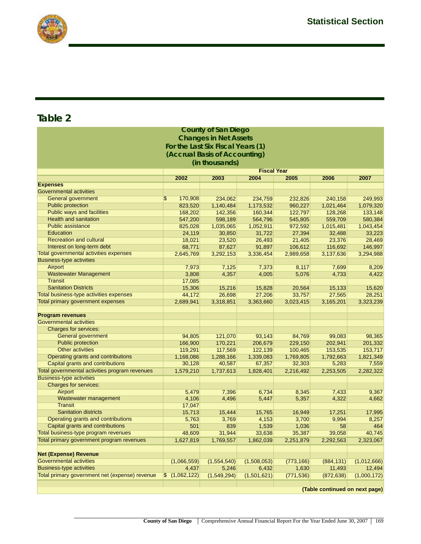

|                                                   |                                   | <b>County of San Diego</b>    |                    |                     |                                |                       |
|---------------------------------------------------|-----------------------------------|-------------------------------|--------------------|---------------------|--------------------------------|-----------------------|
|                                                   |                                   | <b>Changes in Net Assets</b>  |                    |                     |                                |                       |
|                                                   | For the Last Six Fiscal Years (1) |                               |                    |                     |                                |                       |
|                                                   |                                   | (Accrual Basis of Accounting) |                    |                     |                                |                       |
|                                                   |                                   |                               |                    |                     |                                |                       |
|                                                   |                                   | (in thousands)                |                    |                     |                                |                       |
|                                                   |                                   |                               | <b>Fiscal Year</b> |                     |                                |                       |
|                                                   | 2002                              | 2003                          | 2004               | 2005                | 2006                           | 2007                  |
| <b>Expenses</b><br><b>Governmental activities</b> |                                   |                               |                    |                     |                                |                       |
| General government                                | 170,908<br>\$                     | 234,062                       | 234,759            | 232,826             | 240,158                        | 249,993               |
| <b>Public protection</b>                          | 823,520                           | 1,140,484                     | 1,173,532          | 960,227             | 1,021,464                      | 1,079,320             |
| <b>Public ways and facilities</b>                 | 168,202                           | 142,356                       | 160,344            | 122,797             | 128,268                        | 133,148               |
| <b>Health and sanitation</b>                      | 547,200                           | 598,189                       | 564,796            | 545,805             | 559,709                        | 580,384               |
| <b>Public assistance</b>                          | 825,028                           | 1,035,065                     | 1,052,911          | 972,592             | 1,015,481                      | 1,043,454             |
| <b>Education</b>                                  | 24,119                            | 30,850                        | 31,722             | 27,394              | 32,488                         | 33,223                |
| <b>Recreation and cultural</b>                    | 18,021                            | 23,520                        | 26,493             | 21,405              | 23,376                         | 28,469                |
| Interest on long-term debt                        | 68,771                            | 87,627                        | 91,897             | 106,612             | 116,692                        | 146,997               |
| Total governmental activities expenses            | 2,645,769                         | 3,292,153                     | 3,336,454          | 2,989,658           | 3,137,636                      | 3,294,988             |
| <b>Business-type activities</b>                   |                                   |                               |                    |                     |                                |                       |
| Airport                                           | 7,973                             | 7,125                         | 7,373              | 8,117               | 7,699                          | 8,209                 |
| <b>Wastewater Management</b>                      | 3,808                             | 4,357                         | 4,005              | 5,076               | 4,733                          | 4,422                 |
| <b>Transit</b>                                    | 17,085                            |                               |                    |                     |                                |                       |
| <b>Sanitation Districts</b>                       | 15,306                            | 15,216                        | 15,828             | 20,564              | 15,133                         | 15,620                |
| Total business-type activities expenses           | 44,172                            | 26,698                        | 27,206             | 33,757              | 27,565                         | 28,251                |
| Total primary government expenses                 | 2,689,941                         | 3,318,851                     | 3,363,660          | 3,023,415           | 3,165,201                      | 3,323,239             |
|                                                   |                                   |                               |                    |                     |                                |                       |
| <b>Program revenues</b>                           |                                   |                               |                    |                     |                                |                       |
| <b>Governmental activities</b>                    |                                   |                               |                    |                     |                                |                       |
| <b>Charges for services:</b>                      |                                   |                               |                    |                     |                                |                       |
| General government                                | 94,805                            | 121,070                       | 93,143             | 84,769              | 99,083                         | 98,365                |
| <b>Public protection</b>                          | 166,900                           | 170,221                       | 206,679            | 229,150             | 202,941                        | 201,332               |
| <b>Other activities</b>                           | 119,291                           | 117,569                       | 122,139            | 100,465             | 153,535                        | 153,717               |
| Operating grants and contributions                | 1,168,086                         | 1,288,166                     | 1,339,083          | 1,769,805           | 1,792,663                      | 1,821,349             |
| Capital grants and contributions                  | 30,128                            | 40,587                        | 67,357             | 32,303              | 5,283                          | 7,559                 |
| Total governmental activities program revenues    | 1,579,210                         | 1,737,613                     | 1,828,401          | 2,216,492           | 2,253,505                      | 2,282,322             |
| <b>Business-type activities</b>                   |                                   |                               |                    |                     |                                |                       |
| Charges for services:                             |                                   |                               |                    |                     |                                |                       |
| Airport                                           | 5,479                             | 7,396                         | 6,734              | 8,345               | 7,433                          | 9,367                 |
| Wastewater management                             | 4,106                             | 4,496                         | 5,447              | 5,357               | 4,322                          | 4,662                 |
| <b>Transit</b>                                    | 17,047                            |                               |                    |                     |                                |                       |
| <b>Sanitation districts</b>                       | 15,713                            | 15,444                        | 15,765             | 16,949              | 17,251                         | 17,995                |
| <b>Operating grants and contributions</b>         | 5,763                             | 3,769                         | 4,153              | 3,700               | 9,994                          | 8,257                 |
| Capital grants and contributions                  | 501                               | 839                           | 1,539              | 1,036               | 58                             | 464                   |
| Total business-type program revenues              | 48,609                            | 31,944                        | 33,638             | 35,387              | 39,058                         | 40,745                |
| Total primary government program revenues         | 1,627,819                         | 1,769,557                     | 1,862,039          | 2,251,879           | 2,292,563                      | 2,323,067             |
| <b>Net (Expense) Revenue</b>                      |                                   |                               |                    |                     |                                |                       |
| <b>Governmental activities</b>                    |                                   |                               |                    |                     |                                |                       |
| <b>Business-type activities</b>                   | (1,066,559)<br>4,437              | (1,554,540)<br>5,246          | (1,508,053)        | (773, 166)<br>1,630 | (884, 131)<br>11,493           | (1,012,666)<br>12,494 |
| Total primary government net (expense) revenue    | $\frac{1}{2}$ (1,062,122)         | (1,549,294)                   | 6,432              |                     |                                |                       |
|                                                   |                                   |                               | (1,501,621)        | (771, 536)          | (872, 638)                     | (1,000,172)           |
|                                                   |                                   |                               |                    |                     | (Table continued on next page) |                       |
|                                                   |                                   |                               |                    |                     |                                |                       |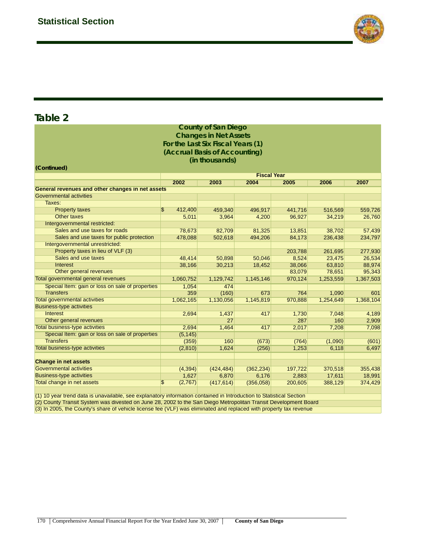

|                                                                                                                    |    |           | <b>County of San Diego</b>        |            |                    |           |           |  |  |  |  |  |
|--------------------------------------------------------------------------------------------------------------------|----|-----------|-----------------------------------|------------|--------------------|-----------|-----------|--|--|--|--|--|
|                                                                                                                    |    |           | <b>Changes in Net Assets</b>      |            |                    |           |           |  |  |  |  |  |
|                                                                                                                    |    |           | For the Last Six Fiscal Years (1) |            |                    |           |           |  |  |  |  |  |
|                                                                                                                    |    |           | (Accrual Basis of Accounting)     |            |                    |           |           |  |  |  |  |  |
|                                                                                                                    |    |           |                                   |            |                    |           |           |  |  |  |  |  |
|                                                                                                                    |    |           | (in thousands)                    |            |                    |           |           |  |  |  |  |  |
| (Continued)                                                                                                        |    |           |                                   |            |                    |           |           |  |  |  |  |  |
|                                                                                                                    |    |           |                                   |            | <b>Fiscal Year</b> |           |           |  |  |  |  |  |
|                                                                                                                    |    | 2002      | 2003                              | 2004       | 2005               | 2006      | 2007      |  |  |  |  |  |
| General revenues and other changes in net assets                                                                   |    |           |                                   |            |                    |           |           |  |  |  |  |  |
| <b>Governmental activities</b>                                                                                     |    |           |                                   |            |                    |           |           |  |  |  |  |  |
| Taxes:                                                                                                             |    |           |                                   |            |                    |           |           |  |  |  |  |  |
| <b>Property taxes</b>                                                                                              | \$ | 412,400   | 459,340                           | 496,917    | 441,716            | 516,569   | 559,726   |  |  |  |  |  |
| <b>Other taxes</b>                                                                                                 |    | 5,011     | 3,964                             | 4,200      | 96,927             | 34,219    | 26,760    |  |  |  |  |  |
| Intergovernmental restricted:                                                                                      |    |           |                                   |            |                    |           |           |  |  |  |  |  |
| Sales and use taxes for roads                                                                                      |    | 78,673    | 82,709                            | 81,325     | 13,851             | 38,702    | 57,439    |  |  |  |  |  |
| Sales and use taxes for public protection                                                                          |    | 478,088   | 502,618                           | 494,206    | 84,173             | 236,438   | 234,797   |  |  |  |  |  |
| Intergovernmental unrestricted:                                                                                    |    |           |                                   |            |                    |           |           |  |  |  |  |  |
| Property taxes in lieu of VLF (3)                                                                                  |    |           |                                   |            | 203,788            | 261,695   | 277,930   |  |  |  |  |  |
| Sales and use taxes                                                                                                |    | 48,414    | 50,898                            | 50,046     | 8,524              | 23,475    | 26,534    |  |  |  |  |  |
| <b>Interest</b>                                                                                                    |    | 38,166    | 30,213                            | 18,452     | 38,066             | 63,810    | 88,974    |  |  |  |  |  |
| Other general revenues                                                                                             |    |           |                                   |            | 83,079             | 78,651    | 95,343    |  |  |  |  |  |
| Total governmental general revenues                                                                                |    | 1,060,752 | 1,129,742                         | 1,145,146  | 970,124            | 1,253,559 | 1,367,503 |  |  |  |  |  |
| Special Item: gain or loss on sale of properties                                                                   |    | 1,054     | 474                               |            |                    |           |           |  |  |  |  |  |
| <b>Transfers</b>                                                                                                   |    | 359       | (160)                             | 673        | 764                | 1,090     | 601       |  |  |  |  |  |
| <b>Total governmental activities</b>                                                                               |    | 1,062,165 | 1,130,056                         | 1,145,819  | 970,888            | 1,254,649 | 1,368,104 |  |  |  |  |  |
| <b>Business-type activities</b>                                                                                    |    |           |                                   |            |                    |           |           |  |  |  |  |  |
| <b>Interest</b>                                                                                                    |    | 2,694     | 1,437                             | 417        | 1,730              | 7,048     | 4,189     |  |  |  |  |  |
| Other general revenues                                                                                             |    |           | 27                                |            | 287                | 160       | 2,909     |  |  |  |  |  |
| <b>Total business-type activities</b>                                                                              |    | 2,694     | 1,464                             | 417        | 2,017              | 7,208     | 7,098     |  |  |  |  |  |
| Special Item: gain or loss on sale of properties                                                                   |    | (5, 145)  |                                   |            |                    |           |           |  |  |  |  |  |
| <b>Transfers</b>                                                                                                   |    | (359)     | 160                               | (673)      | (764)              | (1,090)   | (601)     |  |  |  |  |  |
| <b>Total business-type activities</b>                                                                              |    | (2, 810)  | 1,624                             | (256)      | 1,253              | 6,118     | 6,497     |  |  |  |  |  |
|                                                                                                                    |    |           |                                   |            |                    |           |           |  |  |  |  |  |
| <b>Change in net assets</b>                                                                                        |    |           |                                   |            |                    |           |           |  |  |  |  |  |
| <b>Governmental activities</b>                                                                                     |    | (4, 394)  | (424, 484)                        | (362, 234) | 197,722            | 370,518   | 355,438   |  |  |  |  |  |
| <b>Business-type activities</b>                                                                                    |    | 1,627     | 6,870                             | 6,176      | 2,883              | 17,611    | 18,991    |  |  |  |  |  |
| Total change in net assets                                                                                         | \$ | (2,767)   | (417, 614)                        | (356,058)  | 200,605            | 388,129   | 374,429   |  |  |  |  |  |
|                                                                                                                    |    |           |                                   |            |                    |           |           |  |  |  |  |  |
| (4) 40 year trand data in unougilable, and ovalendary information contained in Introduction to Ptotictical Poetion |    |           |                                   |            |                    |           |           |  |  |  |  |  |

(1) 10 year trend data is unavailable, see explanatory information contained in Introduction to Statistical Section

(2) County Transit System was divested on June 28, 2002 to the San Diego Metropolitan Transit Development Board

(3) In 2005, the County's share of vehicle license fee (VLF) was eliminated and replaced with property tax revenue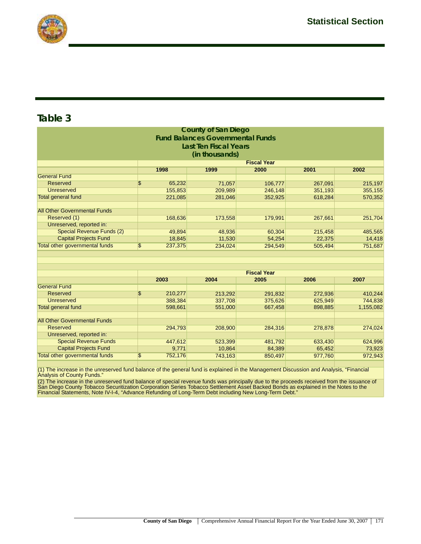

| <b>County of San Diego</b>           |    |         |                                         |                    |         |         |  |  |  |  |  |
|--------------------------------------|----|---------|-----------------------------------------|--------------------|---------|---------|--|--|--|--|--|
|                                      |    |         | <b>Fund Balances Governmental Funds</b> |                    |         |         |  |  |  |  |  |
| <b>Last Ten Fiscal Years</b>         |    |         |                                         |                    |         |         |  |  |  |  |  |
| (in thousands)                       |    |         |                                         |                    |         |         |  |  |  |  |  |
| <b>Fiscal Year</b>                   |    |         |                                         |                    |         |         |  |  |  |  |  |
| 1998<br>1999<br>2000<br>2001<br>2002 |    |         |                                         |                    |         |         |  |  |  |  |  |
| <b>General Fund</b>                  |    |         |                                         |                    |         |         |  |  |  |  |  |
| Reserved                             | \$ | 65,232  | 71,057                                  | 106,777            | 267,091 | 215,197 |  |  |  |  |  |
| <b>Unreserved</b>                    |    | 155,853 | 209,989                                 | 246,148            | 351,193 | 355,155 |  |  |  |  |  |
| <b>Total general fund</b>            |    | 221,085 | 281,046                                 | 352,925            | 618,284 | 570,352 |  |  |  |  |  |
|                                      |    |         |                                         |                    |         |         |  |  |  |  |  |
| <b>All Other Governmental Funds</b>  |    |         |                                         |                    |         |         |  |  |  |  |  |
| Reserved (1)                         |    | 168,636 | 173,558                                 | 179,991            | 267,661 | 251,704 |  |  |  |  |  |
| Unreserved, reported in:             |    |         |                                         |                    |         |         |  |  |  |  |  |
| Special Revenue Funds (2)            |    | 49,894  | 48,936                                  | 60,304             | 215,458 | 485,565 |  |  |  |  |  |
| <b>Capital Projects Fund</b>         |    | 18,845  | 11,530                                  | 54,254             | 22,375  | 14,418  |  |  |  |  |  |
| Total other governmental funds       | \$ | 237,375 | 234,024                                 | 294,549            | 505,494 | 751,687 |  |  |  |  |  |
|                                      |    |         |                                         |                    |         |         |  |  |  |  |  |
|                                      |    |         |                                         |                    |         |         |  |  |  |  |  |
|                                      |    |         |                                         |                    |         |         |  |  |  |  |  |
|                                      |    |         |                                         | <b>Fiscal Year</b> |         |         |  |  |  |  |  |
| Concert Freed                        |    | 2003    | 2004                                    | 2005               | 2006    | 2007    |  |  |  |  |  |

|                                     | <u>rvuj</u>   | $-00 -$ | ----    | LUUU    | <u>Lvvi</u> |
|-------------------------------------|---------------|---------|---------|---------|-------------|
| <b>General Fund</b>                 |               |         |         |         |             |
| Reserved                            | \$<br>210,277 | 213,292 | 291,832 | 272,936 | 410,244     |
| <b>Unreserved</b>                   | 388,384       | 337,708 | 375,626 | 625,949 | 744,838     |
| Total general fund                  | 598,661       | 551,000 | 667,458 | 898,885 | 1,155,082   |
|                                     |               |         |         |         |             |
| <b>All Other Governmental Funds</b> |               |         |         |         |             |
| Reserved                            | 294,793       | 208,900 | 284,316 | 278,878 | 274,024     |
| Unreserved, reported in:            |               |         |         |         |             |
| <b>Special Revenue Funds</b>        | 447,612       | 523,399 | 481,792 | 633,430 | 624,996     |
| <b>Capital Projects Fund</b>        | 9.771         | 10.864  | 84,389  | 65,452  | 73,923      |
| Total other governmental funds      | \$<br>752,176 | 743,163 | 850,497 | 977,760 | 972,943     |
|                                     |               |         |         |         |             |

(1) The increase in the unreserved fund balance of the general fund is explained in the Management Discussion and Analysis, "Financial Analysis of County Funds."

(2) The increase in the unreserved fund balance of special revenue funds was principally due to the proceeds received from the issuance of<br>San Diego County Tobacco Securitization Corporation Series Tobacco Settlement Asset Financial Statements, Note IV-I-4, "Advance Refunding of Long-Term Debt including New Long-Term Debt."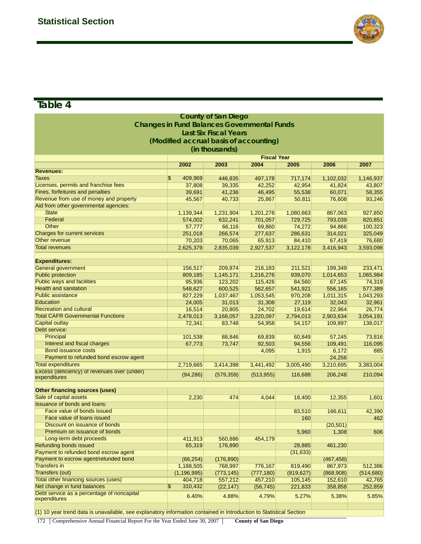

| <b>County of San Diego</b>                                                                                          |                                                    |                              |                    |            |            |                      |  |  |  |  |  |  |
|---------------------------------------------------------------------------------------------------------------------|----------------------------------------------------|------------------------------|--------------------|------------|------------|----------------------|--|--|--|--|--|--|
|                                                                                                                     | <b>Changes in Fund Balances Governmental Funds</b> |                              |                    |            |            |                      |  |  |  |  |  |  |
|                                                                                                                     |                                                    | <b>Last Six Fiscal Years</b> |                    |            |            |                      |  |  |  |  |  |  |
|                                                                                                                     |                                                    |                              |                    |            |            |                      |  |  |  |  |  |  |
|                                                                                                                     | (Modified accrual basis of accounting)             |                              |                    |            |            |                      |  |  |  |  |  |  |
|                                                                                                                     |                                                    | (in thousands)               |                    |            |            |                      |  |  |  |  |  |  |
|                                                                                                                     |                                                    |                              | <b>Fiscal Year</b> |            |            |                      |  |  |  |  |  |  |
|                                                                                                                     | 2002                                               | 2003                         | 2004               | 2005       | 2006       | 2007                 |  |  |  |  |  |  |
| <b>Revenues:</b>                                                                                                    |                                                    |                              |                    |            |            |                      |  |  |  |  |  |  |
| <b>Taxes</b>                                                                                                        | $\overline{\mathcal{E}}$<br>409,969                | 446,835                      | 497,178            | 717,174    | 1,102,032  | 1,146,937            |  |  |  |  |  |  |
| Licenses, permits and franchise fees                                                                                | 37,808                                             | 39,335                       | 42,252             | 42,954     | 41,824     | 43,807               |  |  |  |  |  |  |
| <b>Fines, forfeitures and penalties</b>                                                                             | 39,691                                             | 41,236                       | 46,495             | 55,538     | 60,071     | 58,355               |  |  |  |  |  |  |
| Revenue from use of money and property                                                                              | 45,567                                             | 40,733                       | 25,867             | 50,811     | 76,608     | 93,246               |  |  |  |  |  |  |
| Aid from other governmental agencies:                                                                               |                                                    |                              |                    |            |            |                      |  |  |  |  |  |  |
| <b>State</b>                                                                                                        | 1,139,344                                          | 1,231,904                    | 1,201,278          | 1,080,663  | 867,063    | 927,850              |  |  |  |  |  |  |
| Federal                                                                                                             | 574,002                                            | 632,241                      | 701,057            | 729,725    | 793,039    | 820,851              |  |  |  |  |  |  |
| Other                                                                                                               | 57,777                                             | 66,116                       | 69,860             | 74,272     | 94,866     | 100,323              |  |  |  |  |  |  |
| <b>Charges for current services</b>                                                                                 | 251,018                                            | 266,574                      | 277,637            | 286,631    | 314,021    | 325,049              |  |  |  |  |  |  |
| Other revenue                                                                                                       | 70,203                                             | 70,065                       | 65,913             | 84,410     | 67,419     | 76,680               |  |  |  |  |  |  |
| <b>Total revenues</b>                                                                                               | 2,625,379                                          | 2,835,039                    | 2,927,537          | 3,122,178  | 3,416,943  | 3,593,098            |  |  |  |  |  |  |
|                                                                                                                     |                                                    |                              |                    |            |            |                      |  |  |  |  |  |  |
|                                                                                                                     |                                                    |                              |                    |            |            |                      |  |  |  |  |  |  |
| <b>Expenditures:</b><br><b>General government</b><br>199,349<br>233,471<br>156,517<br>209,874<br>216,183<br>211,521 |                                                    |                              |                    |            |            |                      |  |  |  |  |  |  |
| <b>Public protection</b>                                                                                            | 809,185                                            | 1,145,171                    | 1,216,276          | 939,070    | 1,014,653  | 1,065,984            |  |  |  |  |  |  |
| <b>Public ways and facilities</b>                                                                                   | 95,936                                             | 123,202                      | 115,426            | 84,560     | 67,145     | 74,319               |  |  |  |  |  |  |
| <b>Health and sanitation</b>                                                                                        | 548,627                                            | 600,525                      | 562,657            | 541,921    | 556,165    | 577,389              |  |  |  |  |  |  |
| <b>Public assistance</b>                                                                                            | 827,229                                            | 1,037,467                    | 1,053,545          | 970,208    | 1,011,315  | 1,043,293            |  |  |  |  |  |  |
| Education                                                                                                           | 24,005                                             | 31,013                       | 31,308             | 27,119     | 32,043     | 32,961               |  |  |  |  |  |  |
| <b>Recreation and cultural</b>                                                                                      | 16,514                                             | 20,805                       |                    | 19,614     | 22,964     | 26,774               |  |  |  |  |  |  |
| <b>Total CAFR Governmental Functions</b>                                                                            |                                                    |                              | 24,702             |            |            |                      |  |  |  |  |  |  |
| <b>Capital outlay</b>                                                                                               | 2,478,013                                          | 3,168,057                    | 3,220,097          | 2,794,013  | 2,903,634  | 3,054,191            |  |  |  |  |  |  |
| Debt service:                                                                                                       | 72,341                                             | 83,748                       | 54,958             | 54,157     | 109,897    | 138,017              |  |  |  |  |  |  |
| Principal                                                                                                           |                                                    |                              |                    |            |            |                      |  |  |  |  |  |  |
|                                                                                                                     | 101,538                                            | 88,846                       | 69,839             | 60,849     | 57,245     | 73,816               |  |  |  |  |  |  |
| Interest and fiscal charges                                                                                         | 67,773                                             | 73,747                       | 92,503             | 94,556     | 109,491    | 116,095              |  |  |  |  |  |  |
| <b>Bond issuance costs</b>                                                                                          |                                                    |                              | 4,095              | 1,915      | 6,172      | 885                  |  |  |  |  |  |  |
| Payment to refunded bond escrow agent                                                                               |                                                    |                              |                    |            | 24,256     |                      |  |  |  |  |  |  |
| <b>Total expenditures</b>                                                                                           | 2,719,665                                          | 3,414,398                    | 3,441,492          | 3,005,490  | 3,210,695  | 3,383,004            |  |  |  |  |  |  |
| Excess (deficiency) of revenues over (under)                                                                        | (94, 286)                                          | (579, 359)                   | (513, 955)         | 116,688    | 206,248    | 210,094              |  |  |  |  |  |  |
| expenditures                                                                                                        |                                                    |                              |                    |            |            |                      |  |  |  |  |  |  |
| <b>Other financing sources (uses)</b>                                                                               |                                                    |                              |                    |            |            |                      |  |  |  |  |  |  |
| Sale of capital assets                                                                                              | 2,230                                              | 474                          | 4,044              | 18,400     | 12,355     | 1,601                |  |  |  |  |  |  |
| <b>Issuance of bonds and loans:</b>                                                                                 |                                                    |                              |                    |            |            |                      |  |  |  |  |  |  |
| Face value of bonds issued                                                                                          |                                                    |                              |                    |            |            |                      |  |  |  |  |  |  |
| Face value of loans issued                                                                                          |                                                    |                              |                    | 83,510     | 166,611    | 42,390               |  |  |  |  |  |  |
|                                                                                                                     |                                                    |                              |                    | 160        |            | 462                  |  |  |  |  |  |  |
| Discount on issuance of bonds                                                                                       |                                                    |                              |                    |            | (20, 501)  |                      |  |  |  |  |  |  |
| Premium on issuance of bonds<br>Long-term debt proceeds                                                             |                                                    |                              |                    | 5,960      | 1,308      | 606                  |  |  |  |  |  |  |
|                                                                                                                     | 411,913                                            | 560,886                      | 454,179            |            |            |                      |  |  |  |  |  |  |
| <b>Refunding bonds issued</b>                                                                                       | 65,319                                             | 176,890                      |                    | 28,885     | 461,230    |                      |  |  |  |  |  |  |
| Payment to refunded bond escrow agent                                                                               |                                                    |                              |                    | (31, 633)  |            |                      |  |  |  |  |  |  |
| Payment to escrow agent/refunded bond                                                                               | (66, 254)                                          | (176, 890)                   |                    |            | (467, 458) |                      |  |  |  |  |  |  |
| <b>Transfers in</b>                                                                                                 | 1,188,505                                          | 768,997                      | 776,167            | 819,490    | 867,973    | 512,386              |  |  |  |  |  |  |
| <b>Transfers (out)</b>                                                                                              | (1, 196, 995)                                      | (773, 145)                   | (777, 180)         | (819, 627) | (868,908)  | (514, 680)<br>42,765 |  |  |  |  |  |  |
| <b>Total other financing sources (uses)</b><br>404,718<br>557,212<br>457,210<br>105,145<br>152,610                  |                                                    |                              |                    |            |            |                      |  |  |  |  |  |  |
| Net change in fund balances                                                                                         | 310,432<br>\$                                      | (22, 147)                    | (56, 745)          | 221,833    | 358,858    | 252,859              |  |  |  |  |  |  |
| Debt service as a percentage of noncapital<br>expenditures                                                          | 6.40%                                              | 4.88%                        | 4.79%              | 5.27%      | 5.38%      | 5.85%                |  |  |  |  |  |  |
|                                                                                                                     |                                                    |                              |                    |            |            |                      |  |  |  |  |  |  |
| (1) 10 year trend data is unavailable, see explanatory information contained in Introduction to Statistical Section |                                                    |                              |                    |            |            |                      |  |  |  |  |  |  |
|                                                                                                                     |                                                    |                              |                    |            |            |                      |  |  |  |  |  |  |

172 Comprehensive Annual Financial Report For the Year Ended June 30, 2007 **County of San Diego**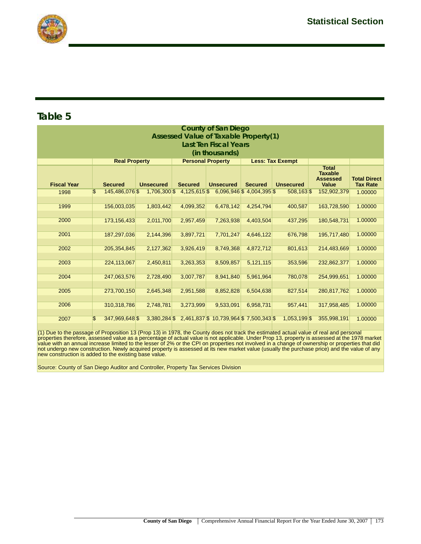

|                    | <b>County of San Diego</b><br><b>Assessed Value of Taxable Property(1)</b> |                      |  |                  |  |                                       |  |                            |  |                         |  |                  |  |                                                                   |                                        |
|--------------------|----------------------------------------------------------------------------|----------------------|--|------------------|--|---------------------------------------|--|----------------------------|--|-------------------------|--|------------------|--|-------------------------------------------------------------------|----------------------------------------|
|                    |                                                                            |                      |  |                  |  | <b>Last Ten Fiscal Years</b>          |  |                            |  |                         |  |                  |  |                                                                   |                                        |
|                    | (in thousands)                                                             |                      |  |                  |  |                                       |  |                            |  |                         |  |                  |  |                                                                   |                                        |
|                    |                                                                            | <b>Real Property</b> |  |                  |  | <b>Personal Property</b>              |  |                            |  | <b>Less: Tax Exempt</b> |  |                  |  |                                                                   |                                        |
| <b>Fiscal Year</b> |                                                                            | <b>Secured</b>       |  | <b>Unsecured</b> |  | <b>Secured</b>                        |  | <b>Unsecured</b>           |  | <b>Secured</b>          |  | <b>Unsecured</b> |  | <b>Total</b><br><b>Taxable</b><br><b>Assessed</b><br><b>Value</b> | <b>Total Direct</b><br><b>Tax Rate</b> |
| 1998               | \$                                                                         | 145,486,076 \$       |  | 1,706,300 \$     |  | $4,125,615$ \$                        |  | $6,096,946$ \$4,004,395 \$ |  |                         |  | 508,163\$        |  | 152,902,379                                                       | 1.00000                                |
| 1999               |                                                                            | 156,003,035          |  | 1,803,442        |  | 4,099,352                             |  | 6,478,142                  |  | 4,254,794               |  | 400,587          |  | 163,728,590                                                       | 1.00000                                |
| 2000               |                                                                            | 173,156,433          |  | 2,011,700        |  | 2,957,459                             |  | 7,263,938                  |  | 4,403,504               |  | 437,295          |  | 180,548,731                                                       | 1.00000                                |
| 2001               |                                                                            | 187,297,036          |  | 2,144,396        |  | 3,897,721                             |  | 7,701,247                  |  | 4,646,122               |  | 676,798          |  | 195,717,480                                                       | 1.00000                                |
|                    |                                                                            |                      |  |                  |  |                                       |  |                            |  |                         |  |                  |  |                                                                   |                                        |
| 2002               |                                                                            | 205, 354, 845        |  | 2,127,362        |  | 3,926,419                             |  | 8,749,368                  |  | 4,872,712               |  | 801,613          |  | 214,483,669                                                       | 1.00000                                |
| 2003               |                                                                            | 224,113,067          |  | 2,450,811        |  | 3,263,353                             |  | 8,509,857                  |  | 5,121,115               |  | 353,596          |  | 232,862,377                                                       | 1.00000                                |
| 2004               |                                                                            | 247,063,576          |  | 2,728,490        |  | 3,007,787                             |  | 8,941,840                  |  | 5,961,964               |  | 780,078          |  | 254,999,651                                                       | 1.00000                                |
| 2005               |                                                                            |                      |  |                  |  |                                       |  |                            |  |                         |  |                  |  |                                                                   | 1.00000                                |
|                    |                                                                            | 273,700,150          |  | 2,645,348        |  | 2,951,588                             |  | 8,852,828                  |  | 6,504,638               |  | 827,514          |  | 280,817,762                                                       |                                        |
| 2006               |                                                                            | 310,318,786          |  | 2,748,781        |  | 3,273,999                             |  | 9,533,091                  |  | 6,958,731               |  | 957,441          |  | 317,958,485                                                       | 1.00000                                |
|                    |                                                                            |                      |  |                  |  |                                       |  |                            |  |                         |  |                  |  |                                                                   |                                        |
| 2007               | $\mathfrak{S}$                                                             | 347,969,648 \$       |  | $3,380,284$ \$   |  | 2,461,837 \$10,739,964 \$7,500,343 \$ |  |                            |  |                         |  | 1,053,199 \$     |  | 355,998,191                                                       | 1.00000                                |

(1) Due to the passage of Proposition 13 (Prop 13) in 1978, the County does not track the estimated actual value of real and personal<br>properties therefore, assessed value as a percentage of actual value is not applicable. not undergo new construction. Newly acquired property is assessed at its new market value (usually the purchase price) and the value of any new construction is added to the existing base value.

Source: County of San Diego Auditor and Controller, Property Tax Services Division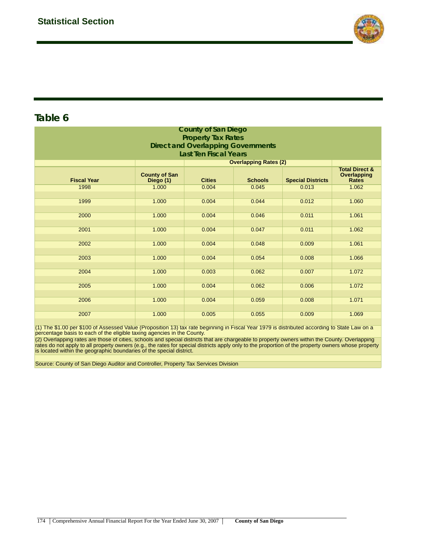

|                    | <b>County of San Diego</b>        |                                           |                              |                          |                                                          |  |  |  |  |  |  |  |  |
|--------------------|-----------------------------------|-------------------------------------------|------------------------------|--------------------------|----------------------------------------------------------|--|--|--|--|--|--|--|--|
|                    |                                   | <b>Property Tax Rates</b>                 |                              |                          |                                                          |  |  |  |  |  |  |  |  |
|                    |                                   | <b>Direct and Overlapping Governments</b> |                              |                          |                                                          |  |  |  |  |  |  |  |  |
|                    | <b>Last Ten Fiscal Years</b>      |                                           |                              |                          |                                                          |  |  |  |  |  |  |  |  |
|                    |                                   |                                           | <b>Overlapping Rates (2)</b> |                          |                                                          |  |  |  |  |  |  |  |  |
| <b>Fiscal Year</b> | <b>County of San</b><br>Diego (1) | <b>Cities</b>                             | <b>Schools</b>               | <b>Special Districts</b> | <b>Total Direct &amp;</b><br>Overlapping<br><b>Rates</b> |  |  |  |  |  |  |  |  |
| 1998               | 1.000                             | 0.004                                     | 0.045                        | 0.013                    | 1.062                                                    |  |  |  |  |  |  |  |  |
| 1999               | 1.000                             | 0.004                                     | 0.044                        | 0.012                    | 1.060                                                    |  |  |  |  |  |  |  |  |
|                    |                                   |                                           |                              |                          |                                                          |  |  |  |  |  |  |  |  |
| 2000               | 1.000                             | 0.004                                     | 0.046                        | 0.011                    | 1.061                                                    |  |  |  |  |  |  |  |  |
| 2001               | 1.000                             | 0.004                                     | 0.047                        | 0.011                    | 1.062                                                    |  |  |  |  |  |  |  |  |
|                    |                                   |                                           |                              |                          |                                                          |  |  |  |  |  |  |  |  |
| 2002               | 1.000                             | 0.004                                     | 0.048                        | 0.009                    | 1.061                                                    |  |  |  |  |  |  |  |  |
|                    |                                   |                                           |                              |                          |                                                          |  |  |  |  |  |  |  |  |
| 2003               | 1.000                             | 0.004                                     | 0.054                        | 0.008                    | 1.066                                                    |  |  |  |  |  |  |  |  |
|                    |                                   |                                           |                              |                          |                                                          |  |  |  |  |  |  |  |  |
| 2004               | 1.000                             | 0.003                                     | 0.062                        | 0.007                    | 1.072                                                    |  |  |  |  |  |  |  |  |
|                    |                                   |                                           |                              |                          |                                                          |  |  |  |  |  |  |  |  |
| 2005               | 1.000                             | 0.004                                     | 0.062                        | 0.006                    | 1.072                                                    |  |  |  |  |  |  |  |  |
| 2006               | 1.000                             | 0.004                                     | 0.059                        | 0.008                    | 1.071                                                    |  |  |  |  |  |  |  |  |
|                    |                                   |                                           |                              |                          |                                                          |  |  |  |  |  |  |  |  |
| 2007               | 1.000                             | 0.005                                     | 0.055                        | 0.009                    | 1.069                                                    |  |  |  |  |  |  |  |  |
|                    |                                   |                                           |                              |                          |                                                          |  |  |  |  |  |  |  |  |

(1) The \$1.00 per \$100 of Assessed Value (Proposition 13) tax rate beginning in Fiscal Year 1979 is distributed according to State Law on a percentage basis to each of the eligible taxing agencies in the County.

(2) Overlapping rates are those of cities, schools and special districts that are chargeable to property owners within the County. Overlapping rates do not apply to all property owners (e.g., the rates for special districts apply only to the proportion of the property owners whose property is located within the geographic boundaries of the special district.

Source: County of San Diego Auditor and Controller, Property Tax Services Division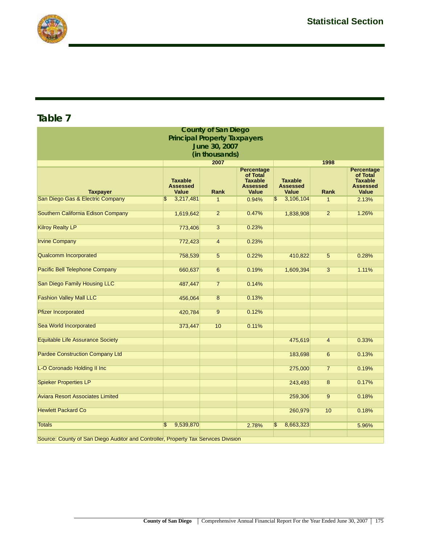



| <b>County of San Diego</b>                                                         |                                                   |                |                                                                                    |                                                   |                |                                                                             |  |  |  |  |  |
|------------------------------------------------------------------------------------|---------------------------------------------------|----------------|------------------------------------------------------------------------------------|---------------------------------------------------|----------------|-----------------------------------------------------------------------------|--|--|--|--|--|
|                                                                                    | <b>Principal Property Taxpayers</b>               |                |                                                                                    |                                                   |                |                                                                             |  |  |  |  |  |
| June 30, 2007                                                                      |                                                   |                |                                                                                    |                                                   |                |                                                                             |  |  |  |  |  |
| (in thousands)                                                                     |                                                   |                |                                                                                    |                                                   |                |                                                                             |  |  |  |  |  |
|                                                                                    |                                                   | 2007           |                                                                                    |                                                   | 1998           |                                                                             |  |  |  |  |  |
| <b>Taxpayer</b>                                                                    | <b>Taxable</b><br><b>Assessed</b><br><b>Value</b> | <b>Rank</b>    | <b>Percentage</b><br>of Total<br><b>Taxable</b><br><b>Assessed</b><br><b>Value</b> | <b>Taxable</b><br><b>Assessed</b><br><b>Value</b> | <b>Rank</b>    | Percentage<br>of Total<br><b>Taxable</b><br><b>Assessed</b><br><b>Value</b> |  |  |  |  |  |
| San Diego Gas & Electric Company                                                   | 3,217,481<br>\$                                   | $\mathbf{1}$   | 0.94%                                                                              | 3,106,104                                         | $\mathbf{1}$   | 2.13%                                                                       |  |  |  |  |  |
| Southern California Edison Company                                                 | 1,619,642                                         | $\overline{2}$ | 0.47%                                                                              | 1,838,908                                         | $\overline{2}$ | 1.26%                                                                       |  |  |  |  |  |
| <b>Kilroy Realty LP</b>                                                            | 773,406                                           | $\overline{3}$ | 0.23%                                                                              |                                                   |                |                                                                             |  |  |  |  |  |
| <b>Irvine Company</b>                                                              | 772,423                                           | $\overline{4}$ | 0.23%                                                                              |                                                   |                |                                                                             |  |  |  |  |  |
| <b>Qualcomm Incorporated</b>                                                       | 758,539                                           | $\overline{5}$ | 0.22%                                                                              | 410,822                                           | $\overline{5}$ | 0.28%                                                                       |  |  |  |  |  |
| <b>Pacific Bell Telephone Company</b>                                              | 660,637                                           | $\overline{6}$ | 0.19%                                                                              | 1,609,394                                         | $\overline{3}$ | 1.11%                                                                       |  |  |  |  |  |
| San Diego Family Housing LLC                                                       | 487,447                                           | $\overline{7}$ | 0.14%                                                                              |                                                   |                |                                                                             |  |  |  |  |  |
| <b>Fashion Valley Mall LLC</b>                                                     | 456,064                                           | $\overline{8}$ | 0.13%                                                                              |                                                   |                |                                                                             |  |  |  |  |  |
| <b>Pfizer Incorporated</b>                                                         | 420,784                                           | $\overline{9}$ | 0.12%                                                                              |                                                   |                |                                                                             |  |  |  |  |  |
| Sea World Incorporated                                                             | 373,447                                           | 10             | 0.11%                                                                              |                                                   |                |                                                                             |  |  |  |  |  |
| <b>Equitable Life Assurance Society</b>                                            |                                                   |                |                                                                                    | 475,619                                           | $\overline{4}$ | 0.33%                                                                       |  |  |  |  |  |
| <b>Pardee Construction Company Ltd</b>                                             |                                                   |                |                                                                                    | 183,698                                           | 6              | 0.13%                                                                       |  |  |  |  |  |
| L-O Coronado Holding II Inc                                                        |                                                   |                |                                                                                    | 275,000                                           | $\overline{7}$ | 0.19%                                                                       |  |  |  |  |  |
| <b>Spieker Properties LP</b>                                                       |                                                   |                |                                                                                    | 243,493                                           | $\overline{8}$ | 0.17%                                                                       |  |  |  |  |  |
| <b>Aviara Resort Associates Limited</b>                                            |                                                   |                |                                                                                    | 259,306                                           | $\overline{9}$ | 0.18%                                                                       |  |  |  |  |  |
| <b>Hewlett Packard Co</b>                                                          |                                                   |                |                                                                                    | 260,979                                           | 10             | 0.18%                                                                       |  |  |  |  |  |
| <b>Totals</b>                                                                      | $\mathbf{\hat{s}}$<br>9,539,870                   |                | 2.78%                                                                              | \$<br>8,663,323                                   |                | 5.96%                                                                       |  |  |  |  |  |
| Source: County of San Diego Auditor and Controller, Property Tax Services Division |                                                   |                |                                                                                    |                                                   |                |                                                                             |  |  |  |  |  |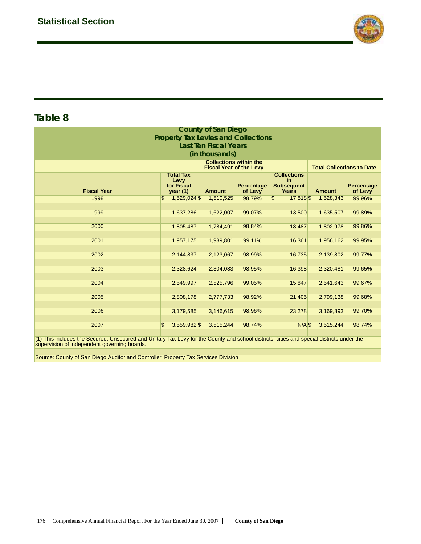

| <b>County of San Diego</b><br><b>Property Tax Levies and Collections</b><br><b>Last Ten Fiscal Years</b><br>(in thousands) |                                                   |                                                                 |                              |                                                         |                                  |                              |  |  |  |  |  |  |
|----------------------------------------------------------------------------------------------------------------------------|---------------------------------------------------|-----------------------------------------------------------------|------------------------------|---------------------------------------------------------|----------------------------------|------------------------------|--|--|--|--|--|--|
|                                                                                                                            |                                                   | <b>Collections within the</b><br><b>Fiscal Year of the Levy</b> |                              |                                                         | <b>Total Collections to Date</b> |                              |  |  |  |  |  |  |
| <b>Fiscal Year</b>                                                                                                         | <b>Total Tax</b><br>Levy<br>for Fiscal<br>year(1) | <b>Amount</b>                                                   | <b>Percentage</b><br>of Levy | <b>Collections</b><br>in.<br><b>Subsequent</b><br>Years | <b>Amount</b>                    | <b>Percentage</b><br>of Levy |  |  |  |  |  |  |
| 1998                                                                                                                       | 1,529,024 \$<br>\$                                | 1,510,525                                                       | 98.79%                       | \$<br>17,818                                            | 1,528,343                        | 99.96%                       |  |  |  |  |  |  |
| 1999                                                                                                                       | 1,637,286                                         | 1,622,007                                                       | 99.07%                       | 13,500                                                  | 1,635,507                        | 99.89%                       |  |  |  |  |  |  |
| 2000                                                                                                                       | 1,805,487                                         | 1,784,491                                                       | 98.84%                       | 18,487                                                  | 1,802,978                        | 99.86%                       |  |  |  |  |  |  |
| 2001                                                                                                                       | 1,957,175                                         | 1,939,801                                                       | 99.11%                       | 16,361                                                  | 1,956,162                        | 99.95%                       |  |  |  |  |  |  |
| 2002                                                                                                                       | 2,144,837                                         | 2,123,067                                                       | 98.99%                       | 16,735                                                  | 2,139,802                        | 99.77%                       |  |  |  |  |  |  |
| 2003                                                                                                                       | 2,328,624                                         | 2,304,083                                                       | 98.95%                       | 16,398                                                  | 2,320,481                        | 99.65%                       |  |  |  |  |  |  |
| 2004                                                                                                                       | 2,549,997                                         | 2,525,796                                                       | 99.05%                       | 15,847                                                  | 2,541,643                        | 99.67%                       |  |  |  |  |  |  |
| 2005                                                                                                                       | 2,808,178                                         | 2,777,733                                                       | 98.92%                       | 21,405                                                  | 2,799,138                        | 99.68%                       |  |  |  |  |  |  |
| 2006                                                                                                                       | 3,179,585                                         | 3,146,615                                                       | 98.96%                       | 23,278                                                  | 3,169,893                        | 99.70%                       |  |  |  |  |  |  |
| 2007                                                                                                                       | \$<br>3,559,982 \$                                | 3,515,244                                                       | 98.74%                       | $N/A$ \$                                                | 3,515,244                        | 98.74%                       |  |  |  |  |  |  |

(1) This includes the Secured, Unsecured and Unitary Tax Levy for the County and school districts, cities and special districts under the supervision of independent governing boards.

Source: County of San Diego Auditor and Controller, Property Tax Services Division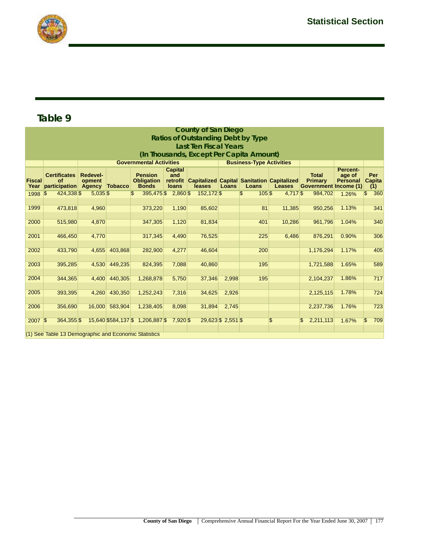

|                       | <b>County of San Diego</b>                           |                                     |                                                                   |                                                     |                                       |                                                                      |                   |                                 |               |                                                                |                                              |                      |  |
|-----------------------|------------------------------------------------------|-------------------------------------|-------------------------------------------------------------------|-----------------------------------------------------|---------------------------------------|----------------------------------------------------------------------|-------------------|---------------------------------|---------------|----------------------------------------------------------------|----------------------------------------------|----------------------|--|
|                       | <b>Ratios of Outstanding Debt by Type</b>            |                                     |                                                                   |                                                     |                                       |                                                                      |                   |                                 |               |                                                                |                                              |                      |  |
|                       | <b>Last Ten Fiscal Years</b>                         |                                     |                                                                   |                                                     |                                       |                                                                      |                   |                                 |               |                                                                |                                              |                      |  |
|                       | (In Thousands, Except Per Capita Amount)             |                                     |                                                                   |                                                     |                                       |                                                                      |                   |                                 |               |                                                                |                                              |                      |  |
|                       |                                                      |                                     | <b>Governmental Activities</b><br><b>Business-Type Activities</b> |                                                     |                                       |                                                                      |                   |                                 |               |                                                                |                                              |                      |  |
| <b>Fiscal</b><br>Year | <b>Certificates</b><br><b>of</b><br>participation    | <b>Redevel-</b><br>opment<br>Agency | <b>Tobacco</b>                                                    | <b>Pension</b><br><b>Obligation</b><br><b>Bonds</b> | <b>Capital</b><br>and<br><b>loans</b> | retrofit Capitalized Capital Sanitation Capitalized<br><b>leases</b> | Loans             | Loans                           | <b>Leases</b> | <b>Total</b><br><b>Primary</b><br><b>Government Income (1)</b> | <b>Percent-</b><br>age of<br><b>Personal</b> | Per<br>Capita<br>(1) |  |
| 1998 \$               | 424,338 \$                                           | $5,035$ \$                          |                                                                   | \$                                                  | 395,475 \$2,860 \$                    | 152,172 \$                                                           |                   | $\overline{\mathbb{S}}$<br>105S | 4,717 \$      | 984,702                                                        | 1.26%                                        | 360<br>$\mathbb{S}$  |  |
|                       |                                                      |                                     |                                                                   |                                                     |                                       |                                                                      |                   |                                 |               |                                                                |                                              |                      |  |
| 1999                  | 473,818                                              | 4,960                               |                                                                   | 373,220                                             | 1,190                                 | 85,602                                                               |                   | 81                              | 11,385        | 950,256                                                        | 1.13%                                        | 341                  |  |
| 2000                  | 515,980                                              |                                     |                                                                   |                                                     | 1,120                                 |                                                                      |                   | 401                             | 10,286        | 961,796                                                        | 1.04%                                        | 340                  |  |
|                       |                                                      | 4,870                               |                                                                   | 347,305                                             |                                       | 81,834                                                               |                   |                                 |               |                                                                |                                              |                      |  |
| 2001                  | 466,450                                              | 4,770                               |                                                                   | 317,345                                             | 4,490                                 | 76,525                                                               |                   | 225                             | 6,486         | 876,291                                                        | 0.90%                                        | 306                  |  |
|                       |                                                      |                                     |                                                                   |                                                     |                                       |                                                                      |                   |                                 |               |                                                                |                                              |                      |  |
| 2002                  | 433,790                                              |                                     | 4,655 403,868                                                     | 282,900                                             | 4,277                                 | 46,604                                                               |                   | 200                             |               | 1,176,294                                                      | 1.17%                                        | 405                  |  |
|                       |                                                      |                                     |                                                                   |                                                     |                                       |                                                                      |                   |                                 |               |                                                                |                                              |                      |  |
| 2003                  | 395,285                                              |                                     | 4,530 449,235                                                     | 824,395                                             | 7,088                                 | 40,860                                                               |                   | 195                             |               | 1,721,588                                                      | 1.65%                                        | 589                  |  |
|                       |                                                      |                                     |                                                                   |                                                     |                                       |                                                                      |                   |                                 |               |                                                                |                                              |                      |  |
| 2004                  | 344,365                                              |                                     | 4,400 440,305                                                     | 1,268,878                                           | 5,750                                 | 37,346                                                               | 2,998             | 195                             |               | 2,104,237                                                      | 1.86%                                        | 717                  |  |
| 2005                  | 393,395                                              |                                     | 4,260 430,350                                                     | 1,252,243                                           | 7,316                                 | 34,625                                                               | 2,926             |                                 |               | 2,125,115                                                      | 1.78%                                        | 724                  |  |
|                       |                                                      |                                     |                                                                   |                                                     |                                       |                                                                      |                   |                                 |               |                                                                |                                              |                      |  |
| 2006                  | 356,690                                              |                                     | 16,000 583,904                                                    | 1,238,405                                           | 8,098                                 | 31,894                                                               | 2,745             |                                 |               | 2,237,736                                                      | 1.76%                                        | 723                  |  |
|                       |                                                      |                                     |                                                                   |                                                     |                                       |                                                                      |                   |                                 |               |                                                                |                                              |                      |  |
| $2007$ \$             | 364,355 \$                                           |                                     |                                                                   | 15,640 \$584,137 \$1,206,887 \$7,920 \$             |                                       |                                                                      | 29,623 \$2,551 \$ |                                 | \$            | 2,211,113<br>\$                                                | 1.67%                                        | 709<br>$\mathbb{S}$  |  |
|                       |                                                      |                                     |                                                                   |                                                     |                                       |                                                                      |                   |                                 |               |                                                                |                                              |                      |  |
|                       | (1) See Table 13 Demographic and Economic Statistics |                                     |                                                                   |                                                     |                                       |                                                                      |                   |                                 |               |                                                                |                                              |                      |  |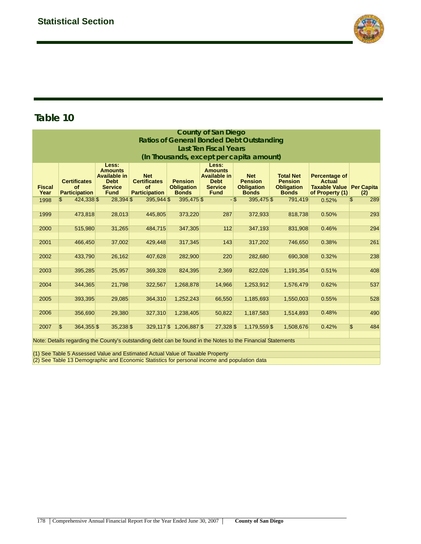

| <b>County of San Diego</b>                       |                                                                                                                                                                                              |                                                                                         |                                                                        |                                                     |                                                                                         |                                                                   |                                                                         |                                                                        |                       |  |
|--------------------------------------------------|----------------------------------------------------------------------------------------------------------------------------------------------------------------------------------------------|-----------------------------------------------------------------------------------------|------------------------------------------------------------------------|-----------------------------------------------------|-----------------------------------------------------------------------------------------|-------------------------------------------------------------------|-------------------------------------------------------------------------|------------------------------------------------------------------------|-----------------------|--|
| <b>Ratios of General Bonded Debt Outstanding</b> |                                                                                                                                                                                              |                                                                                         |                                                                        |                                                     |                                                                                         |                                                                   |                                                                         |                                                                        |                       |  |
| <b>Last Ten Fiscal Years</b>                     |                                                                                                                                                                                              |                                                                                         |                                                                        |                                                     |                                                                                         |                                                                   |                                                                         |                                                                        |                       |  |
| (In Thousands, except per capita amount)         |                                                                                                                                                                                              |                                                                                         |                                                                        |                                                     |                                                                                         |                                                                   |                                                                         |                                                                        |                       |  |
| <b>Fiscal</b><br>Year                            | <b>Certificates</b><br><b>of</b><br><b>Participation</b>                                                                                                                                     | Less:<br><b>Amounts</b><br>Available in<br><b>Debt</b><br><b>Service</b><br><b>Fund</b> | <b>Net</b><br><b>Certificates</b><br><b>of</b><br><b>Participation</b> | <b>Pension</b><br><b>Obligation</b><br><b>Bonds</b> | Less:<br><b>Amounts</b><br>Available in<br><b>Debt</b><br><b>Service</b><br><b>Fund</b> | <b>Net</b><br><b>Pension</b><br><b>Obligation</b><br><b>Bonds</b> | <b>Total Net</b><br><b>Pension</b><br><b>Obligation</b><br><b>Bonds</b> | Percentage of<br>Actual<br>Taxable Value Per Capita<br>of Property (1) | (2)                   |  |
| 1998                                             | $\mathfrak{S}$<br>424,338 \$                                                                                                                                                                 | 28,394 \$                                                                               | 395,944 \$                                                             | 395,475 \$                                          |                                                                                         | 395,475 \$<br>$-$ \$                                              | 791,419                                                                 | 0.52%                                                                  | $\mathfrak{s}$<br>289 |  |
| 1999                                             | 473,818                                                                                                                                                                                      | 28,013                                                                                  | 445,805                                                                | 373,220                                             | 287                                                                                     | 372,933                                                           | 818,738                                                                 | 0.50%                                                                  | 293                   |  |
| 2000                                             | 515,980                                                                                                                                                                                      | 31,265                                                                                  | 484,715                                                                | 347,305                                             | 112                                                                                     | 347,193                                                           | 831,908                                                                 | 0.46%                                                                  | 294                   |  |
|                                                  |                                                                                                                                                                                              |                                                                                         |                                                                        |                                                     |                                                                                         |                                                                   |                                                                         |                                                                        |                       |  |
| 2001                                             | 466,450                                                                                                                                                                                      | 37,002                                                                                  | 429,448                                                                | 317,345                                             | 143                                                                                     | 317,202                                                           | 746,650                                                                 | 0.38%                                                                  | 261                   |  |
| 2002                                             | 433,790                                                                                                                                                                                      | 26,162                                                                                  | 407,628                                                                | 282,900                                             | 220                                                                                     | 282,680                                                           | 690,308                                                                 | 0.32%                                                                  | 238                   |  |
| 2003                                             | 395,285                                                                                                                                                                                      | 25,957                                                                                  | 369,328                                                                | 824,395                                             | 2,369                                                                                   | 822,026                                                           | 1,191,354                                                               | 0.51%                                                                  | 408                   |  |
| 2004                                             | 344,365                                                                                                                                                                                      | 21,798                                                                                  | 322,567                                                                | 1,268,878                                           | 14,966                                                                                  | 1,253,912                                                         | 1,576,479                                                               | 0.62%                                                                  | 537                   |  |
| 2005                                             | 393,395                                                                                                                                                                                      | 29,085                                                                                  | 364,310                                                                | 1,252,243                                           | 66,550                                                                                  | 1,185,693                                                         | 1,550,003                                                               | 0.55%                                                                  | 528                   |  |
| 2006                                             | 356,690                                                                                                                                                                                      | 29,380                                                                                  | 327,310                                                                | 1,238,405                                           | 50,822                                                                                  | 1,187,583                                                         | 1,514,893                                                               | 0.48%                                                                  | 490                   |  |
| 2007                                             | $\sqrt{3}$<br>364,355 \$                                                                                                                                                                     | $35,238$ \$                                                                             |                                                                        | 329,117 \$ 1,206,887 \$                             | 27,328 \$                                                                               | 1,179,559 \$                                                      | 1,508,676                                                               | 0.42%                                                                  | \$<br>484             |  |
|                                                  | Note: Details regarding the County's outstanding debt can be found in the Notes to the Financial Statements<br>(1) See Table 5 Assessed Value and Estimated Actual Value of Taxable Property |                                                                                         |                                                                        |                                                     |                                                                                         |                                                                   |                                                                         |                                                                        |                       |  |

(2) See Table 13 Demographic and Economic Statistics for personal income and population data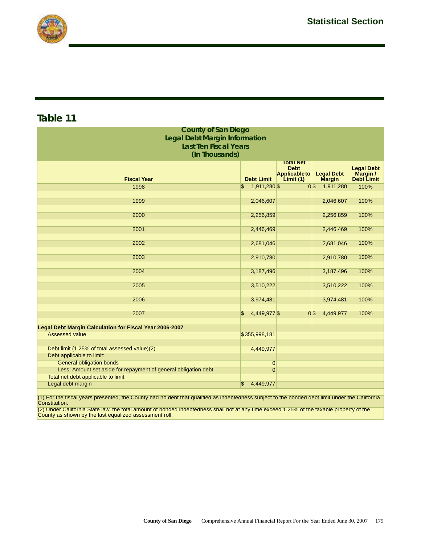

| <b>County of San Diego</b>                                      |                    |                                   |                                    |                               |  |  |  |  |  |
|-----------------------------------------------------------------|--------------------|-----------------------------------|------------------------------------|-------------------------------|--|--|--|--|--|
| <b>Legal Debt Margin Information</b>                            |                    |                                   |                                    |                               |  |  |  |  |  |
| <b>Last Ten Fiscal Years</b>                                    |                    |                                   |                                    |                               |  |  |  |  |  |
| (In Thousands)                                                  |                    |                                   |                                    |                               |  |  |  |  |  |
| <b>Total Net</b>                                                |                    |                                   |                                    |                               |  |  |  |  |  |
|                                                                 |                    | <b>Debt</b>                       |                                    | <b>Legal Debt</b>             |  |  |  |  |  |
| <b>Fiscal Year</b>                                              | <b>Debt Limit</b>  | <b>Applicable to</b><br>Limit (1) | <b>Legal Debt</b><br><b>Margin</b> | Margin /<br><b>Debt Limit</b> |  |  |  |  |  |
| 1998                                                            | 1,911,280 \$<br>\$ | 0 <sup>3</sup>                    | 1,911,280                          | 100%                          |  |  |  |  |  |
|                                                                 |                    |                                   |                                    |                               |  |  |  |  |  |
| 1999                                                            | 2,046,607          |                                   | 2,046,607                          | 100%                          |  |  |  |  |  |
|                                                                 |                    |                                   |                                    |                               |  |  |  |  |  |
| 2000                                                            | 2,256,859          |                                   | 2,256,859                          | 100%                          |  |  |  |  |  |
| 2001                                                            | 2,446,469          |                                   | 2,446,469                          | 100%                          |  |  |  |  |  |
|                                                                 |                    |                                   |                                    |                               |  |  |  |  |  |
| 2002                                                            | 2,681,046          |                                   | 2,681,046                          | 100%                          |  |  |  |  |  |
|                                                                 |                    |                                   |                                    |                               |  |  |  |  |  |
| 2003                                                            | 2,910,780          |                                   | 2,910,780                          | 100%                          |  |  |  |  |  |
|                                                                 |                    |                                   |                                    |                               |  |  |  |  |  |
| 2004                                                            | 3,187,496          |                                   | 3,187,496                          | 100%                          |  |  |  |  |  |
| 2005                                                            | 3,510,222          |                                   | 3,510,222                          | 100%                          |  |  |  |  |  |
|                                                                 |                    |                                   |                                    |                               |  |  |  |  |  |
| 2006                                                            | 3,974,481          |                                   | 3,974,481                          | 100%                          |  |  |  |  |  |
|                                                                 |                    |                                   |                                    |                               |  |  |  |  |  |
| 2007                                                            | 4,449,977 \$       | 0S                                | 4,449,977                          | 100%                          |  |  |  |  |  |
|                                                                 |                    |                                   |                                    |                               |  |  |  |  |  |
| <b>Legal Debt Margin Calculation for Fiscal Year 2006-2007</b>  |                    |                                   |                                    |                               |  |  |  |  |  |
| <b>Assessed value</b>                                           | \$355,998,181      |                                   |                                    |                               |  |  |  |  |  |
| Debt limit (1.25% of total assessed value)(2)                   | 4,449,977          |                                   |                                    |                               |  |  |  |  |  |
| Debt applicable to limit:                                       |                    |                                   |                                    |                               |  |  |  |  |  |
| <b>General obligation bonds</b>                                 | $\overline{0}$     |                                   |                                    |                               |  |  |  |  |  |
| Less: Amount set aside for repayment of general obligation debt | $\overline{0}$     |                                   |                                    |                               |  |  |  |  |  |
| Total net debt applicable to limit                              |                    |                                   |                                    |                               |  |  |  |  |  |
| Legal debt margin                                               | 4,449,977<br>\$    |                                   |                                    |                               |  |  |  |  |  |

(1) For the fiscal years presented, the County had no debt that qualified as indebtedness subject to the bonded debt limit under the California Constitution.

(2) Under California State law, the total amount of bonded indebtedness shall not at any time exceed 1.25% of the taxable property of the County as shown by the last equalized assessment roll.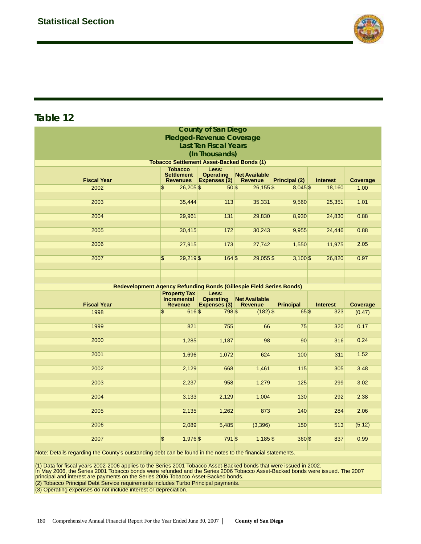

| <b>County of San Diego</b>                                                                                                                                                                                                 |                                      |              |                                                  |                  |                 |          |  |  |  |
|----------------------------------------------------------------------------------------------------------------------------------------------------------------------------------------------------------------------------|--------------------------------------|--------------|--------------------------------------------------|------------------|-----------------|----------|--|--|--|
| <b>Pledged-Revenue Coverage</b>                                                                                                                                                                                            |                                      |              |                                                  |                  |                 |          |  |  |  |
| <b>Last Ten Fiscal Years</b>                                                                                                                                                                                               |                                      |              |                                                  |                  |                 |          |  |  |  |
| (In Thousands)                                                                                                                                                                                                             |                                      |              |                                                  |                  |                 |          |  |  |  |
| <b>Tobacco Settlement Asset-Backed Bonds (1)</b>                                                                                                                                                                           |                                      |              |                                                  |                  |                 |          |  |  |  |
| Less:<br><b>Tobacco</b><br><b>Settlement</b><br><b>Operating</b><br><b>Net Available</b><br><b>Fiscal Year</b><br>Expenses (2)<br><b>Principal (2)</b><br><b>Interest</b><br>Coverage<br><b>Revenues</b><br><b>Revenue</b> |                                      |              |                                                  |                  |                 |          |  |  |  |
| 2002                                                                                                                                                                                                                       | \$<br>$26,205$ \$                    | 50S          | $26,155$ \$                                      | $8,045$ \$       | 18,160          | 1.00     |  |  |  |
| 2003                                                                                                                                                                                                                       |                                      |              |                                                  |                  |                 | 1.01     |  |  |  |
|                                                                                                                                                                                                                            | 35,444                               | 113          | 35,331                                           | 9,560            | 25,351          |          |  |  |  |
| 2004                                                                                                                                                                                                                       | 29,961                               | 131          | 29,830                                           | 8,930            | 24,830          | 0.88     |  |  |  |
| 2005                                                                                                                                                                                                                       | 30,415                               | 172          | 30,243                                           | 9,955            | 24,446          | 0.88     |  |  |  |
| 2006                                                                                                                                                                                                                       | 27,915                               | 173          | 27,742                                           | 1,550            | 11,975          | 2.05     |  |  |  |
| 2007                                                                                                                                                                                                                       | \$<br>29,219 \$                      | 164S         | $29,055$ \$                                      | $3,100$ \$       | 26,820          | 0.97     |  |  |  |
|                                                                                                                                                                                                                            |                                      |              |                                                  |                  |                 |          |  |  |  |
|                                                                                                                                                                                                                            |                                      |              |                                                  |                  |                 |          |  |  |  |
|                                                                                                                                                                                                                            |                                      |              |                                                  |                  |                 |          |  |  |  |
| Redevelopment Agency Refunding Bonds (Gillespie Field Series Bonds)<br><b>Property Tax</b><br>Less:                                                                                                                        |                                      |              |                                                  |                  |                 |          |  |  |  |
|                                                                                                                                                                                                                            |                                      |              |                                                  |                  |                 |          |  |  |  |
| <b>Fiscal Year</b>                                                                                                                                                                                                         | <b>Incremental</b><br><b>Revenue</b> | Expenses (3) | <b>Operating Net Available</b><br><b>Revenue</b> | <b>Principal</b> | <b>Interest</b> | Coverage |  |  |  |
| 1998                                                                                                                                                                                                                       | $\overline{\mathbf{S}}$<br>616\$     | 798\$        | $(182)$ \$                                       | 65\$             | 323             | (0.47)   |  |  |  |
|                                                                                                                                                                                                                            |                                      |              |                                                  |                  |                 |          |  |  |  |
| 1999                                                                                                                                                                                                                       | 821                                  | 755          | 66                                               | 75               | 320             | 0.17     |  |  |  |
| 2000                                                                                                                                                                                                                       | 1,285                                | 1,187        | 98                                               | 90               | 316             | 0.24     |  |  |  |
|                                                                                                                                                                                                                            |                                      |              |                                                  |                  |                 |          |  |  |  |
| 2001                                                                                                                                                                                                                       | 1,696                                | 1,072        | 624                                              | 100              | 311             | 1.52     |  |  |  |
|                                                                                                                                                                                                                            |                                      |              |                                                  |                  |                 |          |  |  |  |
| 2002                                                                                                                                                                                                                       | 2,129                                | 668          | 1,461                                            | 115              | 305             | 3.48     |  |  |  |
| 2003                                                                                                                                                                                                                       | 2,237                                | 958          | 1,279                                            | 125              | 299             | 3.02     |  |  |  |
|                                                                                                                                                                                                                            |                                      |              |                                                  |                  |                 |          |  |  |  |
| 2004                                                                                                                                                                                                                       | 3,133                                | 2,129        | 1,004                                            | 130              | 292             | 2.38     |  |  |  |
| 2005                                                                                                                                                                                                                       | 2,135                                | 1,262        | 873                                              | 140              | 284             | 2.06     |  |  |  |
|                                                                                                                                                                                                                            |                                      |              |                                                  |                  |                 |          |  |  |  |
| 2006                                                                                                                                                                                                                       | 2,089                                | 5,485        | (3,396)                                          | 150              | 513             | (5.12)   |  |  |  |
| 2007                                                                                                                                                                                                                       | 1,976 \$<br>\$                       | 791 \$       | $1,185$ \$                                       | 360 \$           | 837             | 0.99     |  |  |  |

Note: Details regarding the County's outstanding debt can be found in the notes to the financial statements.

(1) Data for fiscal years 2002-2006 applies to the Series 2001 Tobacco Asset-Backed bonds that were issued in 2002.<br>In May 2006, the Series 2001 Tobacco bonds were refunded and the Series 2006 Tobacco Asset-Backed bonds we

(2) Tobacco Principal Debt Service requirements includes Turbo Principal payments.

(3) Operating expenses do not include interest or depreciation.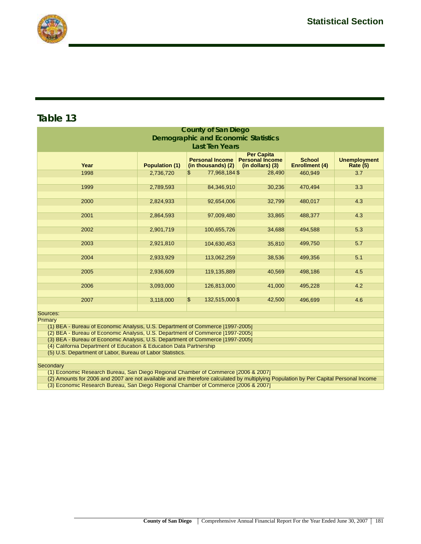

| <b>County of San Diego</b>                                                                                                                                                                                                      |           |                                     |        |         |     |  |  |  |  |
|---------------------------------------------------------------------------------------------------------------------------------------------------------------------------------------------------------------------------------|-----------|-------------------------------------|--------|---------|-----|--|--|--|--|
| <b>Demographic and Economic Statistics</b>                                                                                                                                                                                      |           |                                     |        |         |     |  |  |  |  |
| <b>Last Ten Years</b>                                                                                                                                                                                                           |           |                                     |        |         |     |  |  |  |  |
| <b>Per Capita</b><br><b>Personal Income</b><br><b>School</b><br><b>Unemployment</b><br><b>Personal Income</b><br><b>Population (1)</b><br><b>Enrollment (4)</b><br>Year<br>(in thousands) (2)<br>(in dollars) (3)<br>Rate $(5)$ |           |                                     |        |         |     |  |  |  |  |
| 1998                                                                                                                                                                                                                            | 2,736,720 | 77,968,184 \$<br>\$                 | 28,490 | 460,949 | 3.7 |  |  |  |  |
| 1999                                                                                                                                                                                                                            | 2,789,593 | 84,346,910                          | 30,236 | 470,494 | 3.3 |  |  |  |  |
| 2000                                                                                                                                                                                                                            | 2,824,933 | 92,654,006                          | 32,799 | 480,017 | 4.3 |  |  |  |  |
| 2001                                                                                                                                                                                                                            | 2,864,593 | 97,009,480                          | 33,865 | 488,377 | 4.3 |  |  |  |  |
| 2002                                                                                                                                                                                                                            | 2,901,719 | 100,655,726                         | 34,688 | 494,588 | 5.3 |  |  |  |  |
| 2003                                                                                                                                                                                                                            | 2,921,810 | 104,630,453                         | 35,810 | 499,750 | 5.7 |  |  |  |  |
| 2004                                                                                                                                                                                                                            | 2,933,929 | 113,062,259                         | 38,536 | 499,356 | 5.1 |  |  |  |  |
| 2005                                                                                                                                                                                                                            | 2,936,609 | 119,135,889                         | 40,569 | 498,186 | 4.5 |  |  |  |  |
| 2006                                                                                                                                                                                                                            | 3,093,000 | 126,813,000                         | 41,000 | 495,228 | 4.2 |  |  |  |  |
| 2007                                                                                                                                                                                                                            | 3,118,000 | $\boldsymbol{\$}$<br>132,515,000 \$ | 42,500 | 496,699 | 4.6 |  |  |  |  |
| Sources:                                                                                                                                                                                                                        |           |                                     |        |         |     |  |  |  |  |
| Primary                                                                                                                                                                                                                         |           |                                     |        |         |     |  |  |  |  |
| (1) BEA - Bureau of Economic Analysis, U.S. Department of Commerce [1997-2005]                                                                                                                                                  |           |                                     |        |         |     |  |  |  |  |
| (2) BEA - Bureau of Economic Analysis, U.S. Department of Commerce [1997-2005]<br>(3) BEA - Bureau of Economic Analysis, U.S. Department of Commerce [1997-2005]                                                                |           |                                     |        |         |     |  |  |  |  |
| (4) California Department of Education & Education Data Partnership                                                                                                                                                             |           |                                     |        |         |     |  |  |  |  |
| (5) U.S. Department of Labor, Bureau of Labor Statistics.                                                                                                                                                                       |           |                                     |        |         |     |  |  |  |  |
| Secondary                                                                                                                                                                                                                       |           |                                     |        |         |     |  |  |  |  |
| (1) Economic Research Bureau, San Diego Regional Chamber of Commerce [2006 & 2007]                                                                                                                                              |           |                                     |        |         |     |  |  |  |  |

(2) Amounts for 2006 and 2007 are not available and are therefore calculated by multiplying Population by Per Capital Personal Income

(3) Economic Research Bureau, San Diego Regional Chamber of Commerce [2006 & 2007]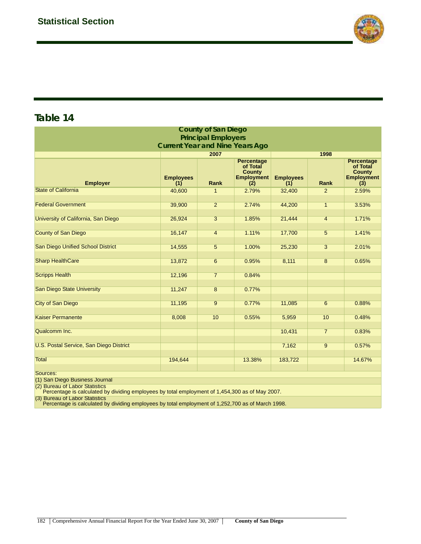

| <b>County of San Diego</b>                                                                                                       |                         |                 |                                                                            |                         |                |                                                                            |  |  |  |
|----------------------------------------------------------------------------------------------------------------------------------|-------------------------|-----------------|----------------------------------------------------------------------------|-------------------------|----------------|----------------------------------------------------------------------------|--|--|--|
| <b>Principal Employers</b>                                                                                                       |                         |                 |                                                                            |                         |                |                                                                            |  |  |  |
| <b>Current Year and Nine Years Ago</b>                                                                                           |                         |                 |                                                                            |                         |                |                                                                            |  |  |  |
|                                                                                                                                  |                         | 2007            |                                                                            |                         | 1998           |                                                                            |  |  |  |
| <b>Employer</b>                                                                                                                  | <b>Employees</b><br>(1) | Rank            | <b>Percentage</b><br>of Total<br><b>County</b><br><b>Employment</b><br>(2) | <b>Employees</b><br>(1) | Rank           | <b>Percentage</b><br>of Total<br><b>County</b><br><b>Employment</b><br>(3) |  |  |  |
| <b>State of California</b>                                                                                                       | 40,600                  | $\mathbf{1}$    | 2.79%                                                                      | 32,400                  | 2              | 2.59%                                                                      |  |  |  |
|                                                                                                                                  |                         |                 |                                                                            |                         |                |                                                                            |  |  |  |
| <b>Federal Government</b>                                                                                                        | 39,900                  | $\overline{2}$  | 2.74%                                                                      | 44,200                  | $\mathbf{1}$   | 3.53%                                                                      |  |  |  |
|                                                                                                                                  |                         |                 |                                                                            |                         |                |                                                                            |  |  |  |
| University of California, San Diego                                                                                              | 26,924                  | $\overline{3}$  | 1.85%                                                                      | 21,444                  | $\overline{4}$ | 1.71%                                                                      |  |  |  |
| <b>County of San Diego</b>                                                                                                       | 16,147                  | $\overline{4}$  | 1.11%                                                                      | 17,700                  | 5              | 1.41%                                                                      |  |  |  |
|                                                                                                                                  |                         |                 |                                                                            |                         |                |                                                                            |  |  |  |
| <b>San Diego Unified School District</b>                                                                                         | 14,555                  | 5               | 1.00%                                                                      | 25,230                  | $\overline{3}$ | 2.01%                                                                      |  |  |  |
|                                                                                                                                  |                         |                 |                                                                            |                         |                |                                                                            |  |  |  |
| <b>Sharp HealthCare</b>                                                                                                          | 13,872                  | $6\overline{6}$ | 0.95%                                                                      | 8,111                   | $\overline{8}$ | 0.65%                                                                      |  |  |  |
|                                                                                                                                  |                         |                 |                                                                            |                         |                |                                                                            |  |  |  |
| <b>Scripps Health</b>                                                                                                            | 12,196                  | $\overline{7}$  | 0.84%                                                                      |                         |                |                                                                            |  |  |  |
| San Diego State University                                                                                                       | 11,247                  | $\overline{8}$  | 0.77%                                                                      |                         |                |                                                                            |  |  |  |
|                                                                                                                                  |                         |                 |                                                                            |                         |                |                                                                            |  |  |  |
| <b>City of San Diego</b>                                                                                                         | 11,195                  | $\overline{9}$  | 0.77%                                                                      | 11,085                  | $\overline{6}$ | 0.88%                                                                      |  |  |  |
|                                                                                                                                  |                         |                 |                                                                            |                         |                |                                                                            |  |  |  |
| <b>Kaiser Permanente</b>                                                                                                         | 8,008                   | 10              | 0.55%                                                                      | 5,959                   | 10             | 0.48%                                                                      |  |  |  |
|                                                                                                                                  |                         |                 |                                                                            |                         |                |                                                                            |  |  |  |
| Qualcomm Inc.                                                                                                                    |                         |                 |                                                                            | 10,431                  | $\overline{7}$ | 0.83%                                                                      |  |  |  |
| <b>U.S. Postal Service, San Diego District</b>                                                                                   |                         |                 |                                                                            | 7,162                   | $\overline{9}$ | 0.57%                                                                      |  |  |  |
|                                                                                                                                  |                         |                 |                                                                            |                         |                |                                                                            |  |  |  |
| <b>Total</b>                                                                                                                     | 194,644                 |                 | 13.38%                                                                     | 183,722                 |                | 14.67%                                                                     |  |  |  |
|                                                                                                                                  |                         |                 |                                                                            |                         |                |                                                                            |  |  |  |
| Sources:                                                                                                                         |                         |                 |                                                                            |                         |                |                                                                            |  |  |  |
| (1) San Diego Business Journal                                                                                                   |                         |                 |                                                                            |                         |                |                                                                            |  |  |  |
| (2) Bureau of Labor Statistics<br>Percentage is calculated by dividing employees by total employment of 1,454,300 as of May 2007 |                         |                 |                                                                            |                         |                |                                                                            |  |  |  |

 $\log$  employees by total employment of 1,454,300 as of May 2007.

(3) Bureau of Labor Statistics Percentage is calculated by dividing employees by total employment of 1,252,700 as of March 1998.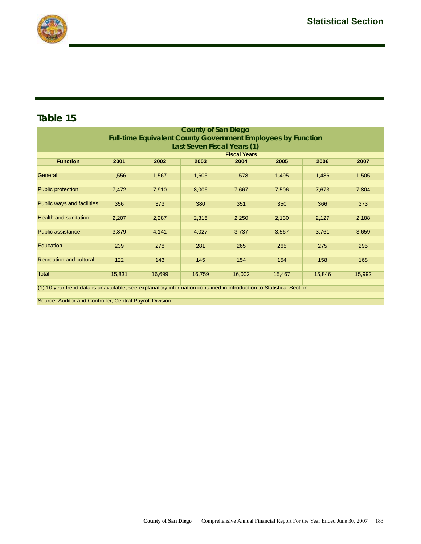

| <b>County of San Diego</b>                                                                                          |        |        |        |        |        |        |        |  |  |
|---------------------------------------------------------------------------------------------------------------------|--------|--------|--------|--------|--------|--------|--------|--|--|
| <b>Full-time Equivalent County Government Employees by Function</b><br>Last Seven Fiscal Years (1)                  |        |        |        |        |        |        |        |  |  |
| <b>Fiscal Years</b>                                                                                                 |        |        |        |        |        |        |        |  |  |
| <b>Function</b>                                                                                                     | 2001   | 2002   | 2003   | 2004   | 2005   | 2006   | 2007   |  |  |
|                                                                                                                     |        |        |        |        |        |        |        |  |  |
| General                                                                                                             | 1,556  | 1,567  | 1,605  | 1,578  | 1,495  | 1,486  | 1,505  |  |  |
|                                                                                                                     |        |        |        |        |        |        |        |  |  |
| <b>Public protection</b>                                                                                            | 7,472  | 7,910  | 8,006  | 7,667  | 7,506  | 7,673  | 7,804  |  |  |
|                                                                                                                     |        |        |        |        |        |        |        |  |  |
| Public ways and facilities                                                                                          | 356    | 373    | 380    | 351    | 350    | 366    | 373    |  |  |
| <b>Health and sanitation</b>                                                                                        | 2,207  | 2,287  | 2,315  | 2,250  | 2,130  | 2,127  | 2,188  |  |  |
|                                                                                                                     |        |        |        |        |        |        |        |  |  |
| <b>Public assistance</b>                                                                                            | 3,879  | 4,141  | 4,027  | 3,737  | 3,567  | 3,761  | 3,659  |  |  |
|                                                                                                                     |        |        |        |        |        |        |        |  |  |
| Education                                                                                                           | 239    | 278    | 281    | 265    | 265    | 275    | 295    |  |  |
|                                                                                                                     |        |        |        |        |        |        |        |  |  |
| <b>Recreation and cultural</b>                                                                                      | 122    | 143    | 145    | 154    | 154    | 158    | 168    |  |  |
|                                                                                                                     |        |        |        |        |        |        |        |  |  |
| <b>Total</b>                                                                                                        | 15,831 | 16,699 | 16,759 | 16,002 | 15,467 | 15,846 | 15,992 |  |  |
| (1) 10 year trend data is unavailable, see explanatory information contained in introduction to Statistical Section |        |        |        |        |        |        |        |  |  |
|                                                                                                                     |        |        |        |        |        |        |        |  |  |
| Source: Auditor and Controller, Central Payroll Division                                                            |        |        |        |        |        |        |        |  |  |
|                                                                                                                     |        |        |        |        |        |        |        |  |  |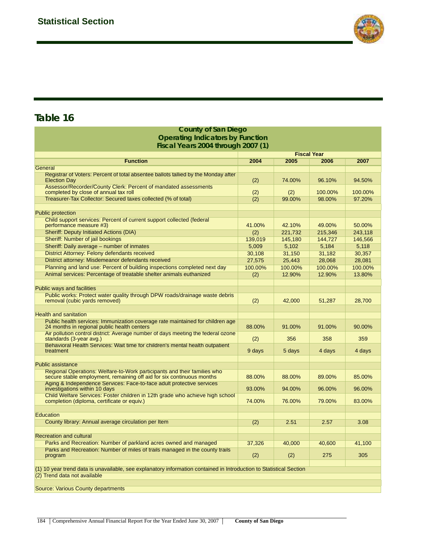

| <b>County of Sall Diego</b>                                                                                                                       |                    |         |         |         |  |  |  |
|---------------------------------------------------------------------------------------------------------------------------------------------------|--------------------|---------|---------|---------|--|--|--|
| <b>Operating Indicators by Function</b>                                                                                                           |                    |         |         |         |  |  |  |
| Fiscal Years 2004 through 2007 (1)                                                                                                                |                    |         |         |         |  |  |  |
|                                                                                                                                                   | <b>Fiscal Year</b> |         |         |         |  |  |  |
| <b>Function</b>                                                                                                                                   | 2004               | 2005    | 2006    | 2007    |  |  |  |
| General                                                                                                                                           |                    |         |         |         |  |  |  |
| Registrar of Voters: Percent of total absentee ballots tallied by the Monday after<br><b>Election Day</b>                                         | (2)                | 74.00%  | 96.10%  | 94.50%  |  |  |  |
| Assessor/Recorder/County Clerk: Percent of mandated assessments<br>completed by close of annual tax roll                                          | (2)                | (2)     | 100.00% | 100.00% |  |  |  |
| Treasurer-Tax Collector: Secured taxes collected (% of total)                                                                                     | (2)                | 99.00%  | 98.00%  | 97.20%  |  |  |  |
|                                                                                                                                                   |                    |         |         |         |  |  |  |
| <b>Public protection</b>                                                                                                                          |                    |         |         |         |  |  |  |
| Child support services: Percent of current support collected (federal                                                                             |                    |         |         |         |  |  |  |
| performance measure #3)                                                                                                                           | 41.00%             | 42.10%  | 49.00%  | 50.00%  |  |  |  |
| <b>Sheriff: Deputy Initiated Actions (DIA)</b>                                                                                                    | (2)                | 221,732 | 215,346 | 243,118 |  |  |  |
| Sheriff: Number of jail bookings                                                                                                                  | 139,019            | 145,180 | 144,727 | 146,566 |  |  |  |
| Sheriff: Daily average - number of inmates                                                                                                        | 5,009              | 5,102   | 5,184   | 5,118   |  |  |  |
| District Attorney: Felony defendants received                                                                                                     | 30,108             | 31,150  | 31,182  | 30,357  |  |  |  |
| District attorney: Misdemeanor defendants received                                                                                                | 27,575             | 25,443  | 28,068  | 28,081  |  |  |  |
| Planning and land use: Percent of building inspections completed next day                                                                         | 100.00%            | 100.00% | 100.00% | 100.00% |  |  |  |
| Animal services: Percentage of treatable shelter animals euthanized                                                                               | (2)                | 12.90%  | 12.90%  | 13.80%  |  |  |  |
|                                                                                                                                                   |                    |         |         |         |  |  |  |
| <b>Public ways and facilities</b>                                                                                                                 |                    |         |         |         |  |  |  |
| Public works: Protect water quality through DPW roads/drainage waste debris<br>removal (cubic yards removed)                                      | (2)                | 42,000  | 51,287  | 28,700  |  |  |  |
|                                                                                                                                                   |                    |         |         |         |  |  |  |
| <b>Health and sanitation</b>                                                                                                                      |                    |         |         |         |  |  |  |
| Public health services: Immunization coverage rate maintained for children age<br>24 months in regional public health centers                     | 88.00%             | 91.00%  | 91.00%  | 90.00%  |  |  |  |
| Air pollution control district: Average number of days meeting the federal ozone<br>standards (3-year avg.)                                       | (2)                | 356     | 358     | 359     |  |  |  |
| Behavioral Health Services: Wait time for children's mental health outpatient<br>treatment                                                        | 9 days             | 5 days  | 4 days  | 4 days  |  |  |  |
|                                                                                                                                                   |                    |         |         |         |  |  |  |
| <b>Public assistance</b>                                                                                                                          |                    |         |         |         |  |  |  |
| Regional Operations: Welfare-to-Work participants and their families who<br>secure stable employment, remaining off aid for six continuous months | 88.00%             | 88.00%  | 89.00%  | 85.00%  |  |  |  |
| Aging & Independence Services: Face-to-face adult protective services                                                                             |                    |         |         |         |  |  |  |
| investigations within 10 days                                                                                                                     | 93.00%             | 94.00%  | 96.00%  | 96.00%  |  |  |  |
| Child Welfare Services: Foster children in 12th grade who achieve high school<br>completion (diploma, certificate or equiv.)                      | 74.00%             | 76.00%  | 79.00%  | 83.00%  |  |  |  |
|                                                                                                                                                   |                    |         |         |         |  |  |  |
| Education                                                                                                                                         |                    |         |         |         |  |  |  |
| County library: Annual average circulation per Item                                                                                               | (2)                | 2.51    | 2.57    | 3.08    |  |  |  |
|                                                                                                                                                   |                    |         |         |         |  |  |  |
| <b>Recreation and cultural</b>                                                                                                                    |                    |         |         |         |  |  |  |
| Parks and Recreation: Number of parkland acres owned and managed                                                                                  | 37,326             | 40,000  | 40,600  | 41,100  |  |  |  |
| Parks and Recreation: Number of miles of trails managed in the county trails                                                                      |                    |         |         |         |  |  |  |
| program                                                                                                                                           | (2)                | (2)     | 275     | 305     |  |  |  |
| (1) 10 year trend data is unavailable, see explanatory information contained in Introduction to Statistical Section                               |                    |         |         |         |  |  |  |
| (2) Trend data not available                                                                                                                      |                    |         |         |         |  |  |  |
|                                                                                                                                                   |                    |         |         |         |  |  |  |
| <b>Source: Various County departments</b>                                                                                                         |                    |         |         |         |  |  |  |

**County of San Diego**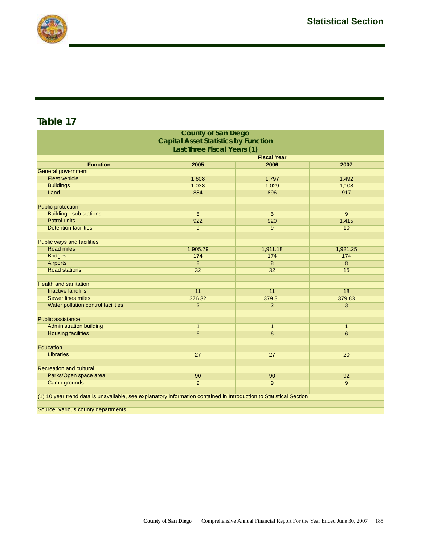

|                                                                                                                     | <b>County of San Diego</b> |                 |                 |  |  |  |  |  |
|---------------------------------------------------------------------------------------------------------------------|----------------------------|-----------------|-----------------|--|--|--|--|--|
| <b>Capital Asset Statistics by Function</b>                                                                         |                            |                 |                 |  |  |  |  |  |
| Last Three Fiscal Years (1)                                                                                         |                            |                 |                 |  |  |  |  |  |
| <b>Fiscal Year</b>                                                                                                  |                            |                 |                 |  |  |  |  |  |
| <b>Function</b>                                                                                                     | 2005                       | 2006            | 2007            |  |  |  |  |  |
| <b>General government</b>                                                                                           |                            |                 |                 |  |  |  |  |  |
| <b>Fleet vehicle</b>                                                                                                | 1,608                      | 1,797           | 1,492           |  |  |  |  |  |
| <b>Buildings</b>                                                                                                    | 1,038                      | 1,029           | 1,108           |  |  |  |  |  |
| Land                                                                                                                | 884                        | 896             | 917             |  |  |  |  |  |
|                                                                                                                     |                            |                 |                 |  |  |  |  |  |
| <b>Public protection</b>                                                                                            |                            |                 |                 |  |  |  |  |  |
| <b>Building - sub stations</b>                                                                                      | 5                          | 5               | $\overline{9}$  |  |  |  |  |  |
| <b>Patrol units</b>                                                                                                 | 922                        | 920             | 1,415           |  |  |  |  |  |
| <b>Detention facilities</b>                                                                                         | 9                          | 9               | 10              |  |  |  |  |  |
|                                                                                                                     |                            |                 |                 |  |  |  |  |  |
| Public ways and facilities                                                                                          |                            |                 |                 |  |  |  |  |  |
| <b>Road miles</b>                                                                                                   | 1,905.79                   | 1,911.18        | 1,921.25        |  |  |  |  |  |
| <b>Bridges</b>                                                                                                      | 174                        | 174             | 174             |  |  |  |  |  |
| <b>Airports</b>                                                                                                     | 8                          | 8               | 8               |  |  |  |  |  |
| <b>Road stations</b>                                                                                                | 32                         | 32              | 15              |  |  |  |  |  |
|                                                                                                                     |                            |                 |                 |  |  |  |  |  |
| <b>Health and sanitation</b>                                                                                        |                            |                 |                 |  |  |  |  |  |
| <b>Inactive landfills</b>                                                                                           | 11                         | 11              | 18              |  |  |  |  |  |
| <b>Sewer lines miles</b>                                                                                            | 376.32                     | 379.31          | 379.83          |  |  |  |  |  |
| Water pollution control facilities                                                                                  | $\overline{2}$             | $\overline{2}$  | $\overline{3}$  |  |  |  |  |  |
|                                                                                                                     |                            |                 |                 |  |  |  |  |  |
| <b>Public assistance</b>                                                                                            |                            |                 |                 |  |  |  |  |  |
| <b>Administration building</b>                                                                                      | $\mathbf{1}$               | $\mathbf{1}$    | $\mathbf{1}$    |  |  |  |  |  |
| <b>Housing facilities</b>                                                                                           | $6\overline{6}$            | $6\overline{6}$ | $6\overline{6}$ |  |  |  |  |  |
|                                                                                                                     |                            |                 |                 |  |  |  |  |  |
| Education                                                                                                           |                            |                 |                 |  |  |  |  |  |
| Libraries                                                                                                           | 27                         | 27              | 20              |  |  |  |  |  |
| <b>Recreation and cultural</b>                                                                                      |                            |                 |                 |  |  |  |  |  |
|                                                                                                                     |                            |                 |                 |  |  |  |  |  |
| Parks/Open space area                                                                                               | 90<br>$\overline{9}$       | 90              | 92              |  |  |  |  |  |
| <b>Camp grounds</b>                                                                                                 |                            | 9               | $\overline{9}$  |  |  |  |  |  |
| (1) 10 year trend data is unavailable, see explanatory information contained in Introduction to Statistical Section |                            |                 |                 |  |  |  |  |  |
|                                                                                                                     |                            |                 |                 |  |  |  |  |  |
| Source: Various county departments                                                                                  |                            |                 |                 |  |  |  |  |  |